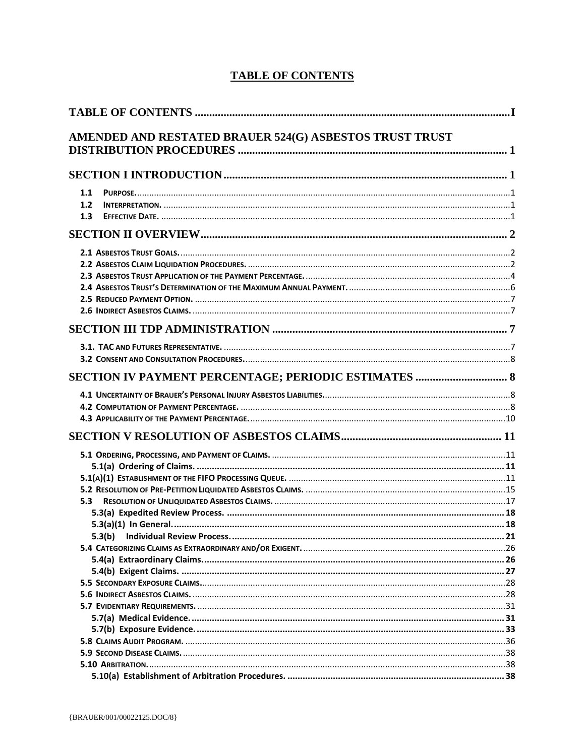<span id="page-0-0"></span>

|     | AMENDED AND RESTATED BRAUER 524(G) ASBESTOS TRUST TRUST |  |
|-----|---------------------------------------------------------|--|
|     |                                                         |  |
| 1.1 |                                                         |  |
| 1.2 |                                                         |  |
| 1.3 |                                                         |  |
|     |                                                         |  |
|     |                                                         |  |
|     |                                                         |  |
|     |                                                         |  |
|     |                                                         |  |
|     |                                                         |  |
|     |                                                         |  |
|     |                                                         |  |
|     |                                                         |  |
|     |                                                         |  |
|     |                                                         |  |
|     | SECTION IV PAYMENT PERCENTAGE; PERIODIC ESTIMATES  8    |  |
|     |                                                         |  |
|     |                                                         |  |
|     |                                                         |  |
|     |                                                         |  |
|     |                                                         |  |
|     |                                                         |  |
|     |                                                         |  |
|     |                                                         |  |
| 5.3 |                                                         |  |
|     |                                                         |  |
|     |                                                         |  |
|     | 5.3(b)                                                  |  |
|     |                                                         |  |
|     |                                                         |  |
|     |                                                         |  |
|     |                                                         |  |
|     |                                                         |  |
|     |                                                         |  |
|     |                                                         |  |
|     |                                                         |  |
|     |                                                         |  |
|     |                                                         |  |
|     |                                                         |  |
|     |                                                         |  |

## **TABLE OF CONTENTS**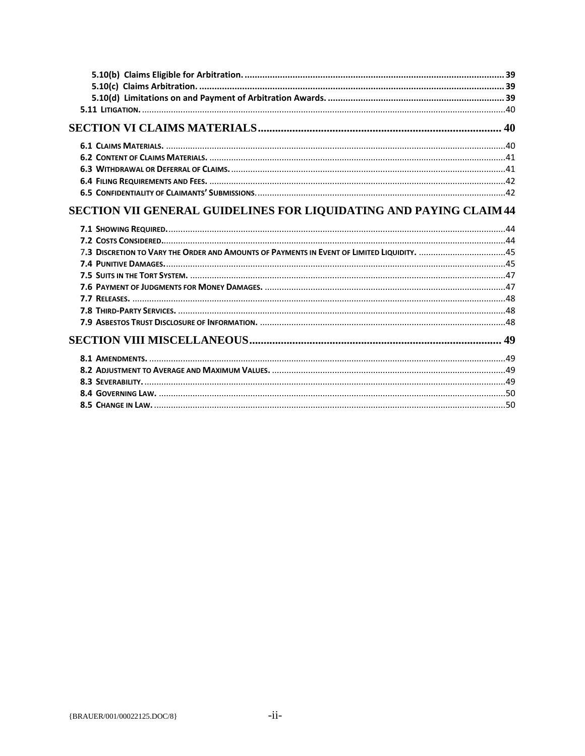| <b>SECTION VII GENERAL GUIDELINES FOR LIQUIDATING AND PAYING CLAIM 44</b> |  |
|---------------------------------------------------------------------------|--|
|                                                                           |  |
|                                                                           |  |
|                                                                           |  |
|                                                                           |  |
|                                                                           |  |
|                                                                           |  |
|                                                                           |  |
|                                                                           |  |
|                                                                           |  |
|                                                                           |  |
|                                                                           |  |
|                                                                           |  |
|                                                                           |  |
|                                                                           |  |
|                                                                           |  |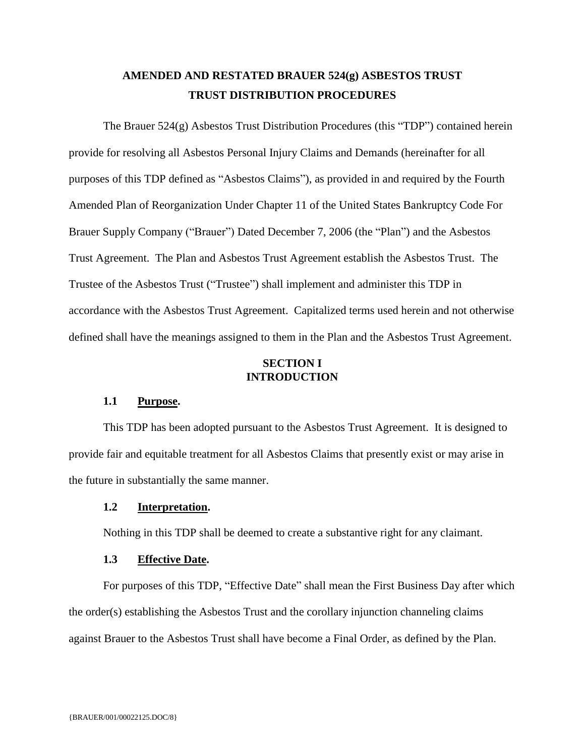## **AMENDED AND RESTATED BRAUER 524(g) ASBESTOS TRUST TRUST DISTRIBUTION PROCEDURES**

<span id="page-2-0"></span>The Brauer 524(g) Asbestos Trust Distribution Procedures (this "TDP") contained herein provide for resolving all Asbestos Personal Injury Claims and Demands (hereinafter for all purposes of this TDP defined as "Asbestos Claims"), as provided in and required by the Fourth Amended Plan of Reorganization Under Chapter 11 of the United States Bankruptcy Code For Brauer Supply Company ("Brauer") Dated December 7, 2006 (the "Plan") and the Asbestos Trust Agreement. The Plan and Asbestos Trust Agreement establish the Asbestos Trust. The Trustee of the Asbestos Trust ("Trustee") shall implement and administer this TDP in accordance with the Asbestos Trust Agreement. Capitalized terms used herein and not otherwise defined shall have the meanings assigned to them in the Plan and the Asbestos Trust Agreement.

## **SECTION I INTRODUCTION**

## <span id="page-2-1"></span>**1.1 Purpose.**

<span id="page-2-2"></span>This TDP has been adopted pursuant to the Asbestos Trust Agreement. It is designed to provide fair and equitable treatment for all Asbestos Claims that presently exist or may arise in the future in substantially the same manner.

## <span id="page-2-3"></span>**1.2 Interpretation.**

Nothing in this TDP shall be deemed to create a substantive right for any claimant.

### **1.3 Effective Date.**

<span id="page-2-4"></span>For purposes of this TDP, "Effective Date" shall mean the First Business Day after which the order(s) establishing the Asbestos Trust and the corollary injunction channeling claims against Brauer to the Asbestos Trust shall have become a Final Order, as defined by the Plan.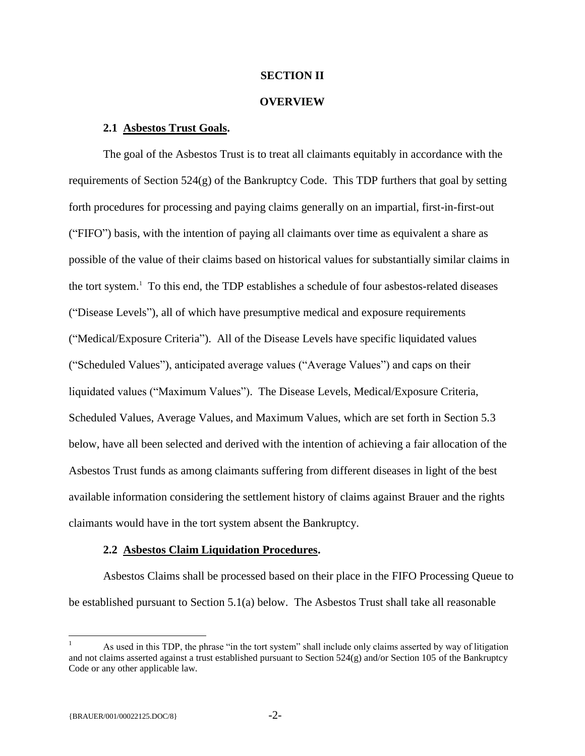## **SECTION II**

#### **OVERVIEW**

## <span id="page-3-0"></span>**2.1 Asbestos Trust Goals.**

<span id="page-3-1"></span>The goal of the Asbestos Trust is to treat all claimants equitably in accordance with the requirements of Section 524(g) of the Bankruptcy Code. This TDP furthers that goal by setting forth procedures for processing and paying claims generally on an impartial, first-in-first-out ("FIFO") basis, with the intention of paying all claimants over time as equivalent a share as possible of the value of their claims based on historical values for substantially similar claims in the tort system.<sup>1</sup> To this end, the TDP establishes a schedule of four asbestos-related diseases ("Disease Levels"), all of which have presumptive medical and exposure requirements ("Medical/Exposure Criteria"). All of the Disease Levels have specific liquidated values ("Scheduled Values"), anticipated average values ("Average Values") and caps on their liquidated values ("Maximum Values"). The Disease Levels, Medical/Exposure Criteria, Scheduled Values, Average Values, and Maximum Values, which are set forth in Section 5.3 below, have all been selected and derived with the intention of achieving a fair allocation of the Asbestos Trust funds as among claimants suffering from different diseases in light of the best available information considering the settlement history of claims against Brauer and the rights claimants would have in the tort system absent the Bankruptcy.

#### **2.2 Asbestos Claim Liquidation Procedures.**

<span id="page-3-2"></span>Asbestos Claims shall be processed based on their place in the FIFO Processing Queue to be established pursuant to Section 5.1(a) below. The Asbestos Trust shall take all reasonable

 $\overline{a}$ 

<sup>1</sup> As used in this TDP, the phrase "in the tort system" shall include only claims asserted by way of litigation and not claims asserted against a trust established pursuant to Section 524(g) and/or Section 105 of the Bankruptcy Code or any other applicable law.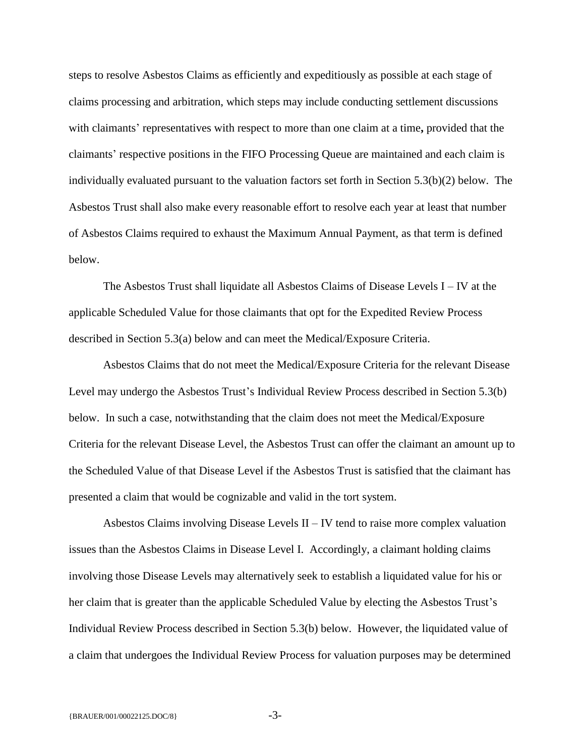steps to resolve Asbestos Claims as efficiently and expeditiously as possible at each stage of claims processing and arbitration, which steps may include conducting settlement discussions with claimants' representatives with respect to more than one claim at a time**,** provided that the claimants' respective positions in the FIFO Processing Queue are maintained and each claim is individually evaluated pursuant to the valuation factors set forth in Section 5.3(b)(2) below. The Asbestos Trust shall also make every reasonable effort to resolve each year at least that number of Asbestos Claims required to exhaust the Maximum Annual Payment, as that term is defined below.

The Asbestos Trust shall liquidate all Asbestos Claims of Disease Levels I – IV at the applicable Scheduled Value for those claimants that opt for the Expedited Review Process described in Section 5.3(a) below and can meet the Medical/Exposure Criteria.

Asbestos Claims that do not meet the Medical/Exposure Criteria for the relevant Disease Level may undergo the Asbestos Trust's Individual Review Process described in Section 5.3(b) below. In such a case, notwithstanding that the claim does not meet the Medical/Exposure Criteria for the relevant Disease Level, the Asbestos Trust can offer the claimant an amount up to the Scheduled Value of that Disease Level if the Asbestos Trust is satisfied that the claimant has presented a claim that would be cognizable and valid in the tort system.

Asbestos Claims involving Disease Levels II – IV tend to raise more complex valuation issues than the Asbestos Claims in Disease Level I. Accordingly, a claimant holding claims involving those Disease Levels may alternatively seek to establish a liquidated value for his or her claim that is greater than the applicable Scheduled Value by electing the Asbestos Trust's Individual Review Process described in Section 5.3(b) below. However, the liquidated value of a claim that undergoes the Individual Review Process for valuation purposes may be determined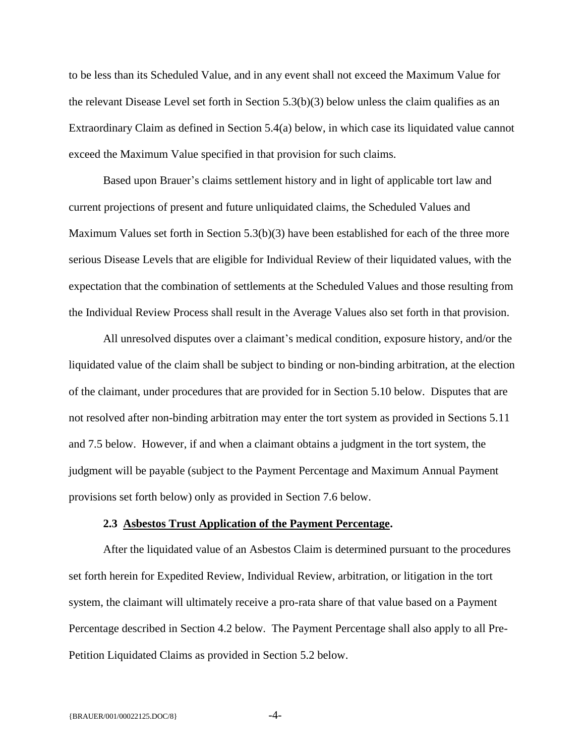to be less than its Scheduled Value, and in any event shall not exceed the Maximum Value for the relevant Disease Level set forth in Section 5.3(b)(3) below unless the claim qualifies as an Extraordinary Claim as defined in Section 5.4(a) below, in which case its liquidated value cannot exceed the Maximum Value specified in that provision for such claims.

Based upon Brauer's claims settlement history and in light of applicable tort law and current projections of present and future unliquidated claims, the Scheduled Values and Maximum Values set forth in Section 5.3(b)(3) have been established for each of the three more serious Disease Levels that are eligible for Individual Review of their liquidated values, with the expectation that the combination of settlements at the Scheduled Values and those resulting from the Individual Review Process shall result in the Average Values also set forth in that provision.

All unresolved disputes over a claimant's medical condition, exposure history, and/or the liquidated value of the claim shall be subject to binding or non-binding arbitration, at the election of the claimant, under procedures that are provided for in Section 5.10 below. Disputes that are not resolved after non-binding arbitration may enter the tort system as provided in Sections 5.11 and 7.5 below. However, if and when a claimant obtains a judgment in the tort system, the judgment will be payable (subject to the Payment Percentage and Maximum Annual Payment provisions set forth below) only as provided in Section 7.6 below.

#### **2.3 Asbestos Trust Application of the Payment Percentage.**

<span id="page-5-0"></span>After the liquidated value of an Asbestos Claim is determined pursuant to the procedures set forth herein for Expedited Review, Individual Review, arbitration, or litigation in the tort system, the claimant will ultimately receive a pro-rata share of that value based on a Payment Percentage described in Section 4.2 below. The Payment Percentage shall also apply to all Pre-Petition Liquidated Claims as provided in Section 5.2 below.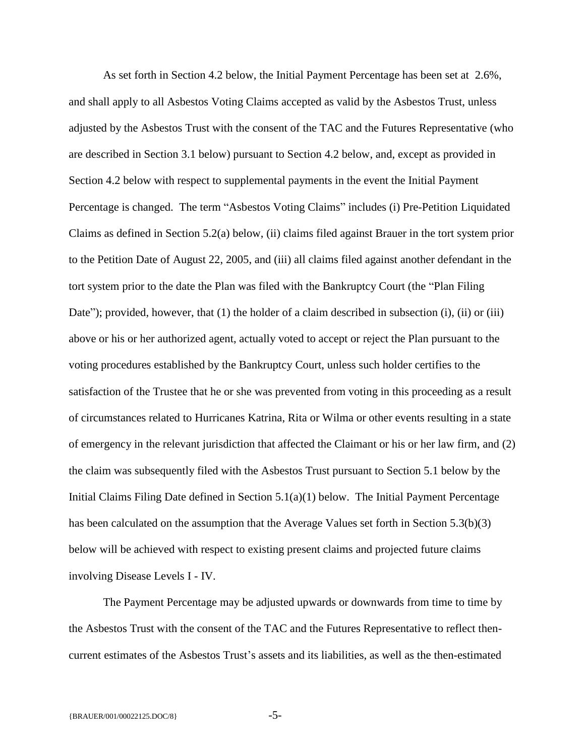As set forth in Section 4.2 below, the Initial Payment Percentage has been set at 2.6%, and shall apply to all Asbestos Voting Claims accepted as valid by the Asbestos Trust, unless adjusted by the Asbestos Trust with the consent of the TAC and the Futures Representative (who are described in Section 3.1 below) pursuant to Section 4.2 below, and, except as provided in Section 4.2 below with respect to supplemental payments in the event the Initial Payment Percentage is changed. The term "Asbestos Voting Claims" includes (i) Pre-Petition Liquidated Claims as defined in Section 5.2(a) below, (ii) claims filed against Brauer in the tort system prior to the Petition Date of August 22, 2005, and (iii) all claims filed against another defendant in the tort system prior to the date the Plan was filed with the Bankruptcy Court (the "Plan Filing Date"); provided, however, that  $(1)$  the holder of a claim described in subsection  $(i)$ ,  $(ii)$  or  $(iii)$ above or his or her authorized agent, actually voted to accept or reject the Plan pursuant to the voting procedures established by the Bankruptcy Court, unless such holder certifies to the satisfaction of the Trustee that he or she was prevented from voting in this proceeding as a result of circumstances related to Hurricanes Katrina, Rita or Wilma or other events resulting in a state of emergency in the relevant jurisdiction that affected the Claimant or his or her law firm, and (2) the claim was subsequently filed with the Asbestos Trust pursuant to Section 5.1 below by the Initial Claims Filing Date defined in Section 5.1(a)(1) below. The Initial Payment Percentage has been calculated on the assumption that the Average Values set forth in Section 5.3(b)(3) below will be achieved with respect to existing present claims and projected future claims involving Disease Levels I - IV.

The Payment Percentage may be adjusted upwards or downwards from time to time by the Asbestos Trust with the consent of the TAC and the Futures Representative to reflect thencurrent estimates of the Asbestos Trust's assets and its liabilities, as well as the then-estimated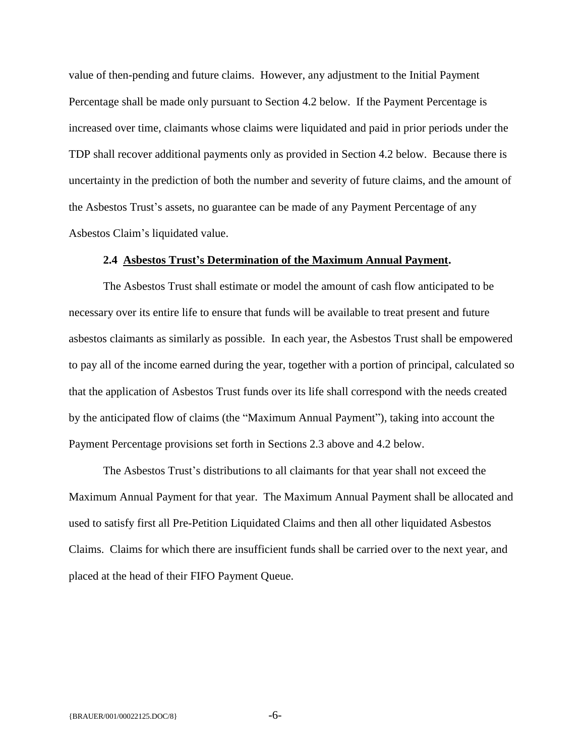value of then-pending and future claims. However, any adjustment to the Initial Payment Percentage shall be made only pursuant to Section 4.2 below. If the Payment Percentage is increased over time, claimants whose claims were liquidated and paid in prior periods under the TDP shall recover additional payments only as provided in Section 4.2 below. Because there is uncertainty in the prediction of both the number and severity of future claims, and the amount of the Asbestos Trust's assets, no guarantee can be made of any Payment Percentage of any Asbestos Claim's liquidated value.

## **2.4 Asbestos Trust's Determination of the Maximum Annual Payment.**

<span id="page-7-0"></span>The Asbestos Trust shall estimate or model the amount of cash flow anticipated to be necessary over its entire life to ensure that funds will be available to treat present and future asbestos claimants as similarly as possible. In each year, the Asbestos Trust shall be empowered to pay all of the income earned during the year, together with a portion of principal, calculated so that the application of Asbestos Trust funds over its life shall correspond with the needs created by the anticipated flow of claims (the "Maximum Annual Payment"), taking into account the Payment Percentage provisions set forth in Sections 2.3 above and 4.2 below.

The Asbestos Trust's distributions to all claimants for that year shall not exceed the Maximum Annual Payment for that year. The Maximum Annual Payment shall be allocated and used to satisfy first all Pre-Petition Liquidated Claims and then all other liquidated Asbestos Claims. Claims for which there are insufficient funds shall be carried over to the next year, and placed at the head of their FIFO Payment Queue.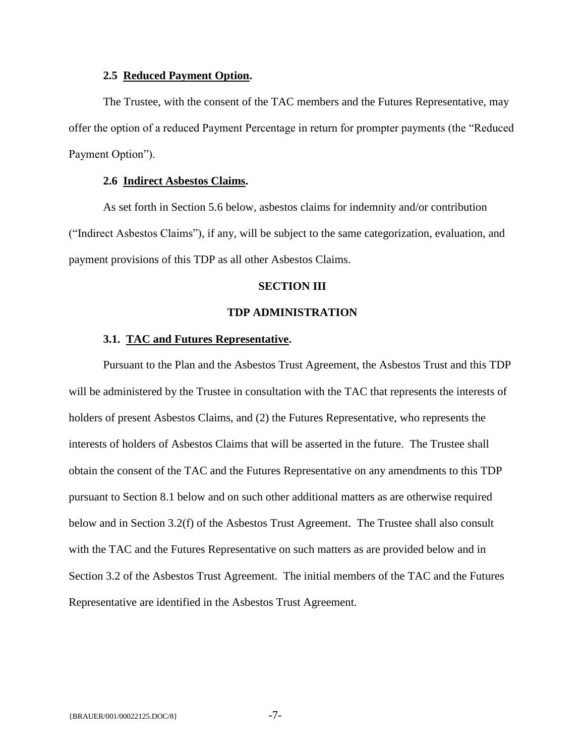## **2.5 Reduced Payment Option.**

<span id="page-8-0"></span>The Trustee, with the consent of the TAC members and the Futures Representative, may offer the option of a reduced Payment Percentage in return for prompter payments (the "Reduced Payment Option").

## **2.6 Indirect Asbestos Claims.**

<span id="page-8-1"></span>As set forth in Section 5.6 below, asbestos claims for indemnity and/or contribution ("Indirect Asbestos Claims"), if any, will be subject to the same categorization, evaluation, and payment provisions of this TDP as all other Asbestos Claims.

## **SECTION III**

## **TDP ADMINISTRATION**

#### <span id="page-8-2"></span>**3.1. TAC and Futures Representative.**

<span id="page-8-3"></span>Pursuant to the Plan and the Asbestos Trust Agreement, the Asbestos Trust and this TDP will be administered by the Trustee in consultation with the TAC that represents the interests of holders of present Asbestos Claims, and (2) the Futures Representative, who represents the interests of holders of Asbestos Claims that will be asserted in the future. The Trustee shall obtain the consent of the TAC and the Futures Representative on any amendments to this TDP pursuant to Section 8.1 below and on such other additional matters as are otherwise required below and in Section 3.2(f) of the Asbestos Trust Agreement. The Trustee shall also consult with the TAC and the Futures Representative on such matters as are provided below and in Section 3.2 of the Asbestos Trust Agreement. The initial members of the TAC and the Futures Representative are identified in the Asbestos Trust Agreement.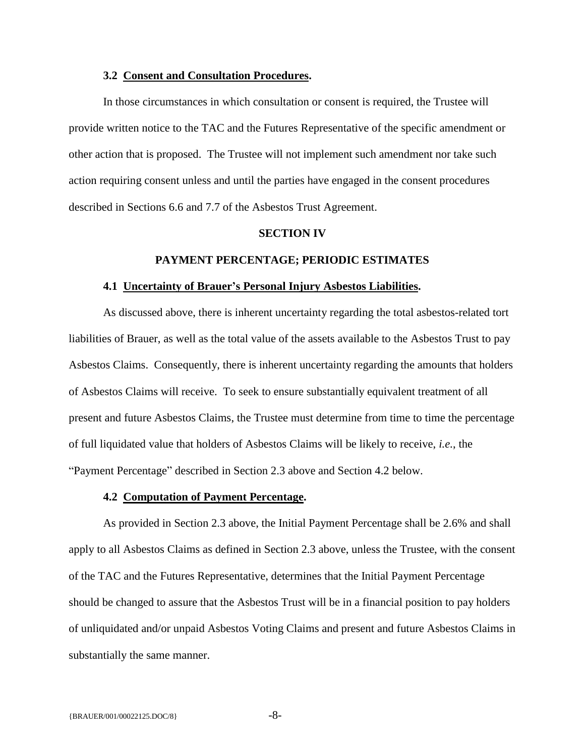#### **3.2 Consent and Consultation Procedures.**

<span id="page-9-0"></span>In those circumstances in which consultation or consent is required, the Trustee will provide written notice to the TAC and the Futures Representative of the specific amendment or other action that is proposed. The Trustee will not implement such amendment nor take such action requiring consent unless and until the parties have engaged in the consent procedures described in Sections 6.6 and 7.7 of the Asbestos Trust Agreement.

#### **SECTION IV**

#### **PAYMENT PERCENTAGE; PERIODIC ESTIMATES**

#### <span id="page-9-1"></span>**4.1 Uncertainty of Brauer's Personal Injury Asbestos Liabilities.**

<span id="page-9-2"></span>As discussed above, there is inherent uncertainty regarding the total asbestos-related tort liabilities of Brauer, as well as the total value of the assets available to the Asbestos Trust to pay Asbestos Claims. Consequently, there is inherent uncertainty regarding the amounts that holders of Asbestos Claims will receive. To seek to ensure substantially equivalent treatment of all present and future Asbestos Claims, the Trustee must determine from time to time the percentage of full liquidated value that holders of Asbestos Claims will be likely to receive, *i.e.*, the "Payment Percentage" described in Section 2.3 above and Section 4.2 below.

#### **4.2 Computation of Payment Percentage.**

<span id="page-9-3"></span>As provided in Section 2.3 above, the Initial Payment Percentage shall be 2.6% and shall apply to all Asbestos Claims as defined in Section 2.3 above, unless the Trustee, with the consent of the TAC and the Futures Representative, determines that the Initial Payment Percentage should be changed to assure that the Asbestos Trust will be in a financial position to pay holders of unliquidated and/or unpaid Asbestos Voting Claims and present and future Asbestos Claims in substantially the same manner.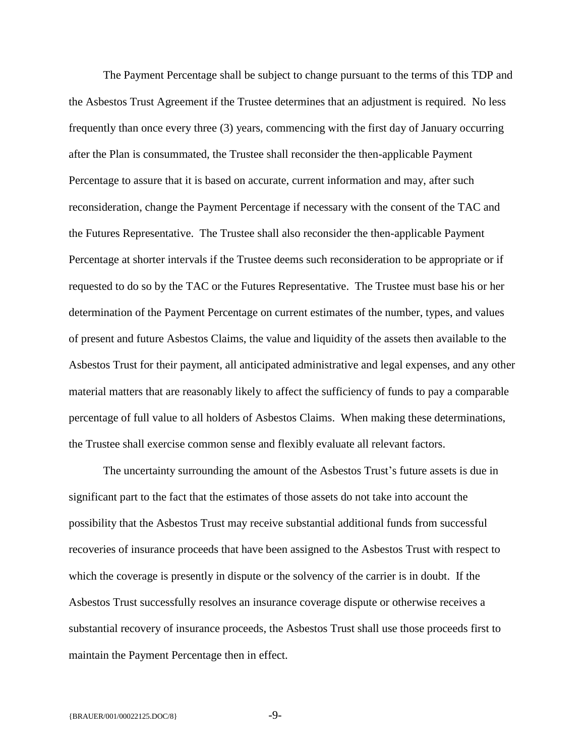The Payment Percentage shall be subject to change pursuant to the terms of this TDP and the Asbestos Trust Agreement if the Trustee determines that an adjustment is required. No less frequently than once every three (3) years, commencing with the first day of January occurring after the Plan is consummated, the Trustee shall reconsider the then-applicable Payment Percentage to assure that it is based on accurate, current information and may, after such reconsideration, change the Payment Percentage if necessary with the consent of the TAC and the Futures Representative. The Trustee shall also reconsider the then-applicable Payment Percentage at shorter intervals if the Trustee deems such reconsideration to be appropriate or if requested to do so by the TAC or the Futures Representative. The Trustee must base his or her determination of the Payment Percentage on current estimates of the number, types, and values of present and future Asbestos Claims, the value and liquidity of the assets then available to the Asbestos Trust for their payment, all anticipated administrative and legal expenses, and any other material matters that are reasonably likely to affect the sufficiency of funds to pay a comparable percentage of full value to all holders of Asbestos Claims. When making these determinations, the Trustee shall exercise common sense and flexibly evaluate all relevant factors.

The uncertainty surrounding the amount of the Asbestos Trust's future assets is due in significant part to the fact that the estimates of those assets do not take into account the possibility that the Asbestos Trust may receive substantial additional funds from successful recoveries of insurance proceeds that have been assigned to the Asbestos Trust with respect to which the coverage is presently in dispute or the solvency of the carrier is in doubt. If the Asbestos Trust successfully resolves an insurance coverage dispute or otherwise receives a substantial recovery of insurance proceeds, the Asbestos Trust shall use those proceeds first to maintain the Payment Percentage then in effect.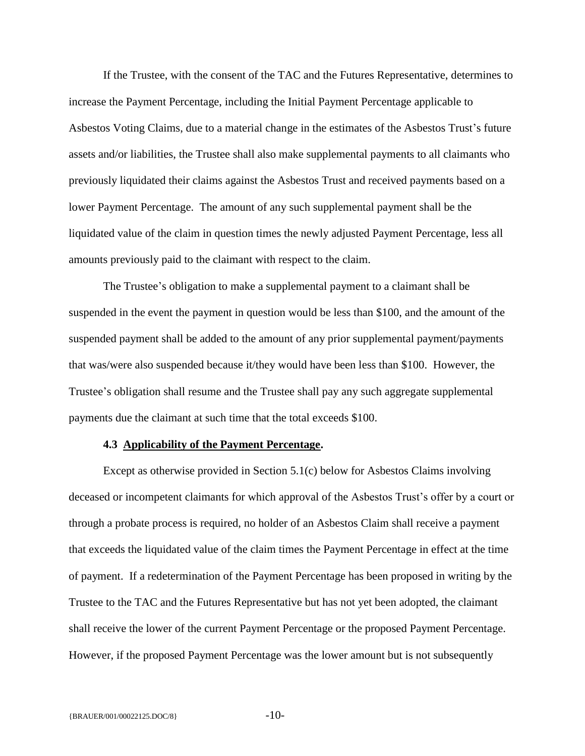If the Trustee, with the consent of the TAC and the Futures Representative, determines to increase the Payment Percentage, including the Initial Payment Percentage applicable to Asbestos Voting Claims, due to a material change in the estimates of the Asbestos Trust's future assets and/or liabilities, the Trustee shall also make supplemental payments to all claimants who previously liquidated their claims against the Asbestos Trust and received payments based on a lower Payment Percentage. The amount of any such supplemental payment shall be the liquidated value of the claim in question times the newly adjusted Payment Percentage, less all amounts previously paid to the claimant with respect to the claim.

The Trustee's obligation to make a supplemental payment to a claimant shall be suspended in the event the payment in question would be less than \$100, and the amount of the suspended payment shall be added to the amount of any prior supplemental payment/payments that was/were also suspended because it/they would have been less than \$100. However, the Trustee's obligation shall resume and the Trustee shall pay any such aggregate supplemental payments due the claimant at such time that the total exceeds \$100.

## **4.3 Applicability of the Payment Percentage.**

<span id="page-11-0"></span>Except as otherwise provided in Section 5.1(c) below for Asbestos Claims involving deceased or incompetent claimants for which approval of the Asbestos Trust's offer by a court or through a probate process is required, no holder of an Asbestos Claim shall receive a payment that exceeds the liquidated value of the claim times the Payment Percentage in effect at the time of payment. If a redetermination of the Payment Percentage has been proposed in writing by the Trustee to the TAC and the Futures Representative but has not yet been adopted, the claimant shall receive the lower of the current Payment Percentage or the proposed Payment Percentage. However, if the proposed Payment Percentage was the lower amount but is not subsequently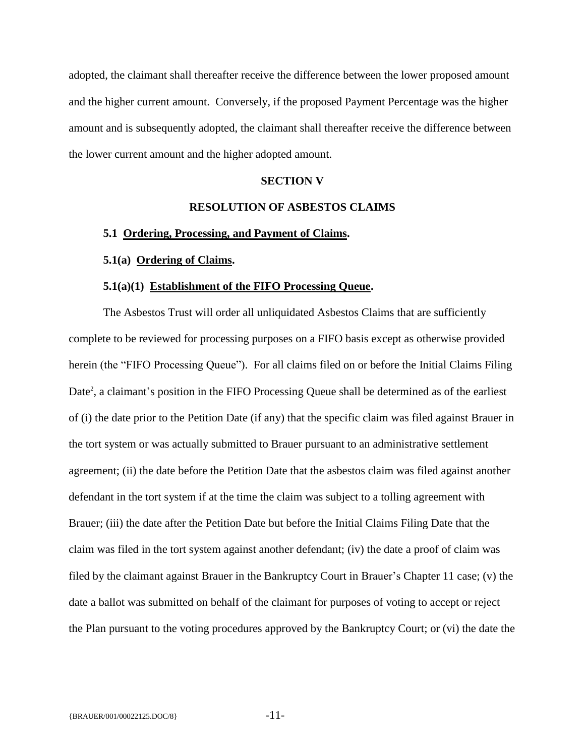adopted, the claimant shall thereafter receive the difference between the lower proposed amount and the higher current amount. Conversely, if the proposed Payment Percentage was the higher amount and is subsequently adopted, the claimant shall thereafter receive the difference between the lower current amount and the higher adopted amount.

## **SECTION V**

## **RESOLUTION OF ASBESTOS CLAIMS**

#### <span id="page-12-1"></span><span id="page-12-0"></span>**5.1 Ordering, Processing, and Payment of Claims.**

### <span id="page-12-2"></span>**5.1(a) Ordering of Claims.**

#### **5.1(a)(1) Establishment of the FIFO Processing Queue.**

<span id="page-12-3"></span>The Asbestos Trust will order all unliquidated Asbestos Claims that are sufficiently complete to be reviewed for processing purposes on a FIFO basis except as otherwise provided herein (the "FIFO Processing Queue"). For all claims filed on or before the Initial Claims Filing Date<sup>2</sup>, a claimant's position in the FIFO Processing Queue shall be determined as of the earliest of (i) the date prior to the Petition Date (if any) that the specific claim was filed against Brauer in the tort system or was actually submitted to Brauer pursuant to an administrative settlement agreement; (ii) the date before the Petition Date that the asbestos claim was filed against another defendant in the tort system if at the time the claim was subject to a tolling agreement with Brauer; (iii) the date after the Petition Date but before the Initial Claims Filing Date that the claim was filed in the tort system against another defendant; (iv) the date a proof of claim was filed by the claimant against Brauer in the Bankruptcy Court in Brauer's Chapter 11 case; (v) the date a ballot was submitted on behalf of the claimant for purposes of voting to accept or reject the Plan pursuant to the voting procedures approved by the Bankruptcy Court; or (vi) the date the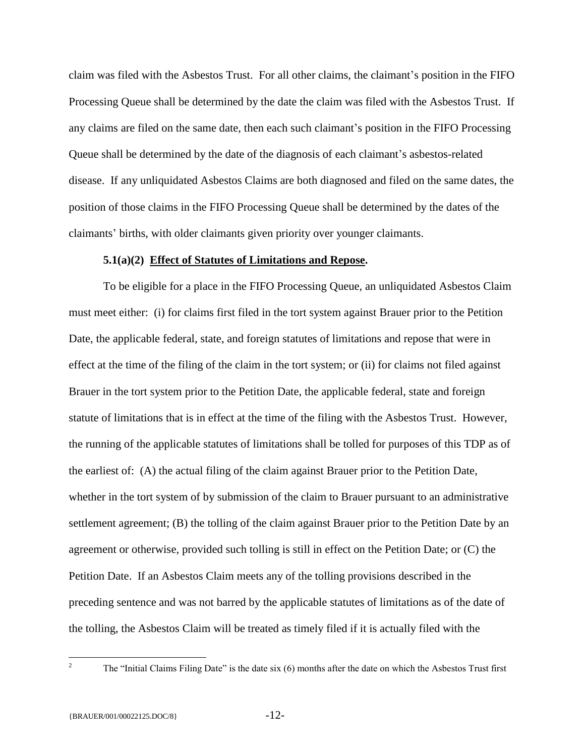claim was filed with the Asbestos Trust. For all other claims, the claimant's position in the FIFO Processing Queue shall be determined by the date the claim was filed with the Asbestos Trust. If any claims are filed on the same date, then each such claimant's position in the FIFO Processing Queue shall be determined by the date of the diagnosis of each claimant's asbestos-related disease. If any unliquidated Asbestos Claims are both diagnosed and filed on the same dates, the position of those claims in the FIFO Processing Queue shall be determined by the dates of the claimants' births, with older claimants given priority over younger claimants.

### **5.1(a)(2) Effect of Statutes of Limitations and Repose.**

To be eligible for a place in the FIFO Processing Queue, an unliquidated Asbestos Claim must meet either: (i) for claims first filed in the tort system against Brauer prior to the Petition Date, the applicable federal, state, and foreign statutes of limitations and repose that were in effect at the time of the filing of the claim in the tort system; or (ii) for claims not filed against Brauer in the tort system prior to the Petition Date, the applicable federal, state and foreign statute of limitations that is in effect at the time of the filing with the Asbestos Trust. However, the running of the applicable statutes of limitations shall be tolled for purposes of this TDP as of the earliest of: (A) the actual filing of the claim against Brauer prior to the Petition Date, whether in the tort system of by submission of the claim to Brauer pursuant to an administrative settlement agreement; (B) the tolling of the claim against Brauer prior to the Petition Date by an agreement or otherwise, provided such tolling is still in effect on the Petition Date; or (C) the Petition Date. If an Asbestos Claim meets any of the tolling provisions described in the preceding sentence and was not barred by the applicable statutes of limitations as of the date of the tolling, the Asbestos Claim will be treated as timely filed if it is actually filed with the

 $\overline{2}$ 

<sup>2</sup> The "Initial Claims Filing Date" is the date six (6) months after the date on which the Asbestos Trust first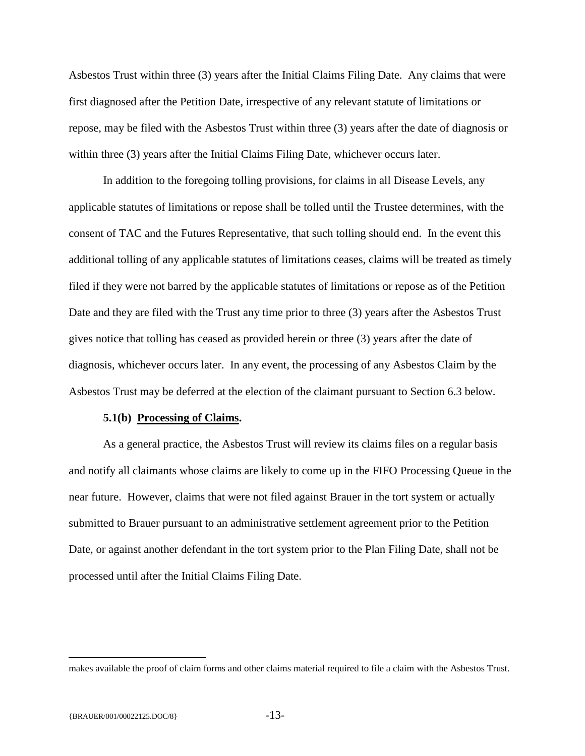Asbestos Trust within three (3) years after the Initial Claims Filing Date. Any claims that were first diagnosed after the Petition Date, irrespective of any relevant statute of limitations or repose, may be filed with the Asbestos Trust within three (3) years after the date of diagnosis or within three (3) years after the Initial Claims Filing Date, whichever occurs later.

In addition to the foregoing tolling provisions, for claims in all Disease Levels, any applicable statutes of limitations or repose shall be tolled until the Trustee determines, with the consent of TAC and the Futures Representative, that such tolling should end. In the event this additional tolling of any applicable statutes of limitations ceases, claims will be treated as timely filed if they were not barred by the applicable statutes of limitations or repose as of the Petition Date and they are filed with the Trust any time prior to three (3) years after the Asbestos Trust gives notice that tolling has ceased as provided herein or three (3) years after the date of diagnosis, whichever occurs later. In any event, the processing of any Asbestos Claim by the Asbestos Trust may be deferred at the election of the claimant pursuant to Section 6.3 below.

#### **5.1(b) Processing of Claims.**

As a general practice, the Asbestos Trust will review its claims files on a regular basis and notify all claimants whose claims are likely to come up in the FIFO Processing Queue in the near future. However, claims that were not filed against Brauer in the tort system or actually submitted to Brauer pursuant to an administrative settlement agreement prior to the Petition Date, or against another defendant in the tort system prior to the Plan Filing Date, shall not be processed until after the Initial Claims Filing Date.

 $\overline{a}$ 

makes available the proof of claim forms and other claims material required to file a claim with the Asbestos Trust.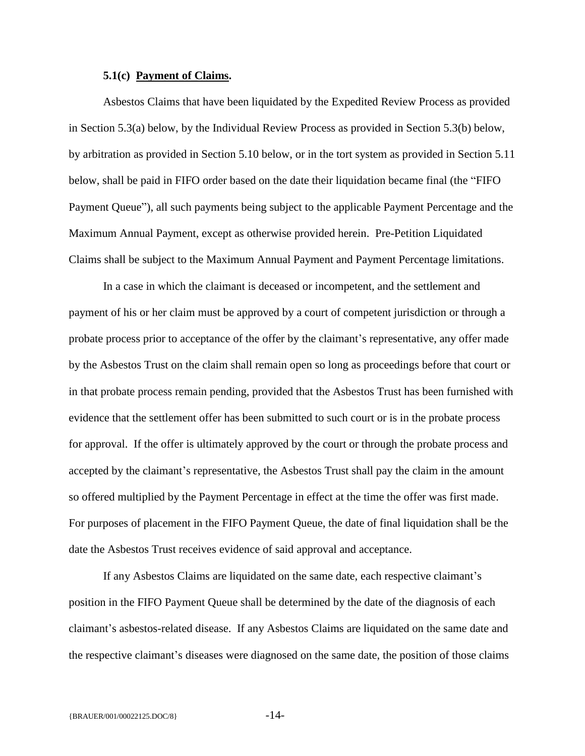#### **5.1(c) Payment of Claims.**

Asbestos Claims that have been liquidated by the Expedited Review Process as provided in Section 5.3(a) below, by the Individual Review Process as provided in Section 5.3(b) below, by arbitration as provided in Section 5.10 below, or in the tort system as provided in Section 5.11 below, shall be paid in FIFO order based on the date their liquidation became final (the "FIFO Payment Queue"), all such payments being subject to the applicable Payment Percentage and the Maximum Annual Payment, except as otherwise provided herein. Pre-Petition Liquidated Claims shall be subject to the Maximum Annual Payment and Payment Percentage limitations.

In a case in which the claimant is deceased or incompetent, and the settlement and payment of his or her claim must be approved by a court of competent jurisdiction or through a probate process prior to acceptance of the offer by the claimant's representative, any offer made by the Asbestos Trust on the claim shall remain open so long as proceedings before that court or in that probate process remain pending, provided that the Asbestos Trust has been furnished with evidence that the settlement offer has been submitted to such court or is in the probate process for approval. If the offer is ultimately approved by the court or through the probate process and accepted by the claimant's representative, the Asbestos Trust shall pay the claim in the amount so offered multiplied by the Payment Percentage in effect at the time the offer was first made. For purposes of placement in the FIFO Payment Queue, the date of final liquidation shall be the date the Asbestos Trust receives evidence of said approval and acceptance.

If any Asbestos Claims are liquidated on the same date, each respective claimant's position in the FIFO Payment Queue shall be determined by the date of the diagnosis of each claimant's asbestos-related disease. If any Asbestos Claims are liquidated on the same date and the respective claimant's diseases were diagnosed on the same date, the position of those claims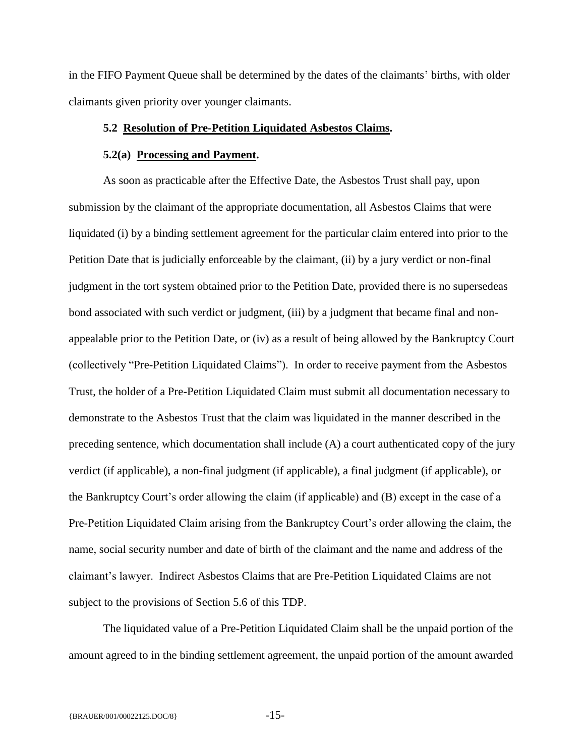in the FIFO Payment Queue shall be determined by the dates of the claimants' births, with older claimants given priority over younger claimants.

## <span id="page-16-0"></span>**5.2 Resolution of Pre-Petition Liquidated Asbestos Claims.**

#### **5.2(a) Processing and Payment.**

As soon as practicable after the Effective Date, the Asbestos Trust shall pay, upon submission by the claimant of the appropriate documentation, all Asbestos Claims that were liquidated (i) by a binding settlement agreement for the particular claim entered into prior to the Petition Date that is judicially enforceable by the claimant, (ii) by a jury verdict or non-final judgment in the tort system obtained prior to the Petition Date, provided there is no supersedeas bond associated with such verdict or judgment, (iii) by a judgment that became final and nonappealable prior to the Petition Date, or (iv) as a result of being allowed by the Bankruptcy Court (collectively "Pre-Petition Liquidated Claims"). In order to receive payment from the Asbestos Trust, the holder of a Pre-Petition Liquidated Claim must submit all documentation necessary to demonstrate to the Asbestos Trust that the claim was liquidated in the manner described in the preceding sentence, which documentation shall include (A) a court authenticated copy of the jury verdict (if applicable), a non-final judgment (if applicable), a final judgment (if applicable), or the Bankruptcy Court's order allowing the claim (if applicable) and (B) except in the case of a Pre-Petition Liquidated Claim arising from the Bankruptcy Court's order allowing the claim, the name, social security number and date of birth of the claimant and the name and address of the claimant's lawyer. Indirect Asbestos Claims that are Pre-Petition Liquidated Claims are not subject to the provisions of Section 5.6 of this TDP.

The liquidated value of a Pre-Petition Liquidated Claim shall be the unpaid portion of the amount agreed to in the binding settlement agreement, the unpaid portion of the amount awarded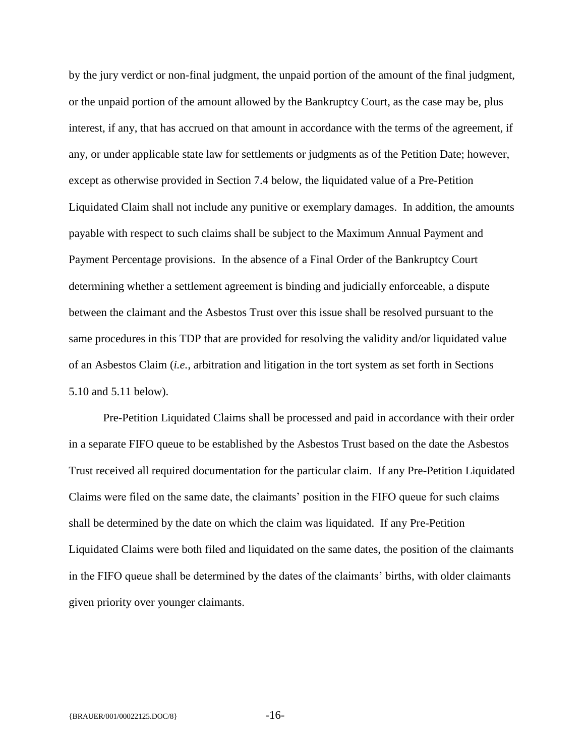by the jury verdict or non-final judgment, the unpaid portion of the amount of the final judgment, or the unpaid portion of the amount allowed by the Bankruptcy Court, as the case may be, plus interest, if any, that has accrued on that amount in accordance with the terms of the agreement, if any, or under applicable state law for settlements or judgments as of the Petition Date; however, except as otherwise provided in Section 7.4 below, the liquidated value of a Pre-Petition Liquidated Claim shall not include any punitive or exemplary damages. In addition, the amounts payable with respect to such claims shall be subject to the Maximum Annual Payment and Payment Percentage provisions. In the absence of a Final Order of the Bankruptcy Court determining whether a settlement agreement is binding and judicially enforceable, a dispute between the claimant and the Asbestos Trust over this issue shall be resolved pursuant to the same procedures in this TDP that are provided for resolving the validity and/or liquidated value of an Asbestos Claim (*i.e.*, arbitration and litigation in the tort system as set forth in Sections 5.10 and 5.11 below).

Pre-Petition Liquidated Claims shall be processed and paid in accordance with their order in a separate FIFO queue to be established by the Asbestos Trust based on the date the Asbestos Trust received all required documentation for the particular claim. If any Pre-Petition Liquidated Claims were filed on the same date, the claimants' position in the FIFO queue for such claims shall be determined by the date on which the claim was liquidated. If any Pre-Petition Liquidated Claims were both filed and liquidated on the same dates, the position of the claimants in the FIFO queue shall be determined by the dates of the claimants' births, with older claimants given priority over younger claimants.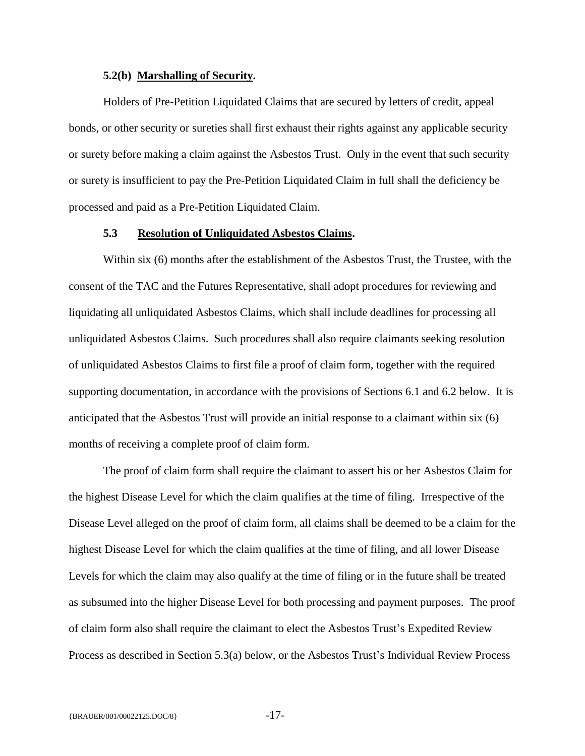#### **5.2(b) Marshalling of Security.**

Holders of Pre-Petition Liquidated Claims that are secured by letters of credit, appeal bonds, or other security or sureties shall first exhaust their rights against any applicable security or surety before making a claim against the Asbestos Trust. Only in the event that such security or surety is insufficient to pay the Pre-Petition Liquidated Claim in full shall the deficiency be processed and paid as a Pre-Petition Liquidated Claim.

#### **5.3 Resolution of Unliquidated Asbestos Claims.**

<span id="page-18-0"></span>Within six (6) months after the establishment of the Asbestos Trust, the Trustee, with the consent of the TAC and the Futures Representative, shall adopt procedures for reviewing and liquidating all unliquidated Asbestos Claims, which shall include deadlines for processing all unliquidated Asbestos Claims. Such procedures shall also require claimants seeking resolution of unliquidated Asbestos Claims to first file a proof of claim form, together with the required supporting documentation, in accordance with the provisions of Sections 6.1 and 6.2 below. It is anticipated that the Asbestos Trust will provide an initial response to a claimant within six (6) months of receiving a complete proof of claim form.

The proof of claim form shall require the claimant to assert his or her Asbestos Claim for the highest Disease Level for which the claim qualifies at the time of filing. Irrespective of the Disease Level alleged on the proof of claim form, all claims shall be deemed to be a claim for the highest Disease Level for which the claim qualifies at the time of filing, and all lower Disease Levels for which the claim may also qualify at the time of filing or in the future shall be treated as subsumed into the higher Disease Level for both processing and payment purposes. The proof of claim form also shall require the claimant to elect the Asbestos Trust's Expedited Review Process as described in Section 5.3(a) below, or the Asbestos Trust's Individual Review Process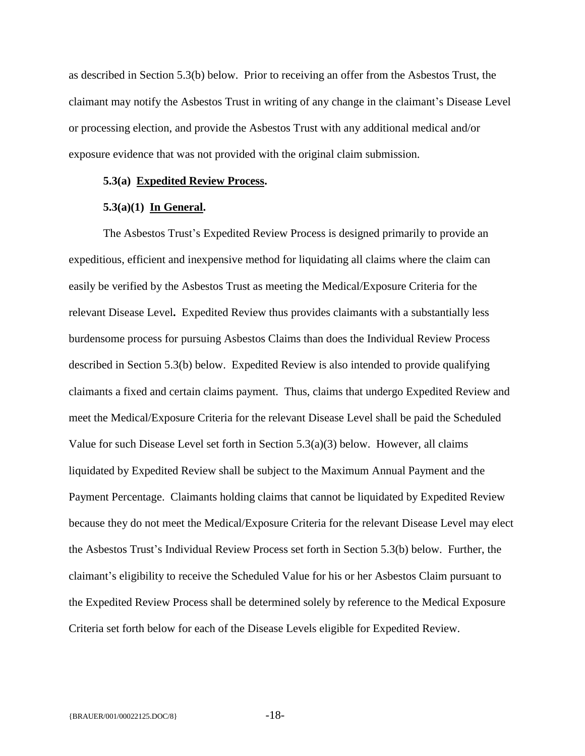as described in Section 5.3(b) below. Prior to receiving an offer from the Asbestos Trust, the claimant may notify the Asbestos Trust in writing of any change in the claimant's Disease Level or processing election, and provide the Asbestos Trust with any additional medical and/or exposure evidence that was not provided with the original claim submission.

## <span id="page-19-0"></span>**5.3(a) Expedited Review Process.**

## **5.3(a)(1) In General.**

<span id="page-19-1"></span>The Asbestos Trust's Expedited Review Process is designed primarily to provide an expeditious, efficient and inexpensive method for liquidating all claims where the claim can easily be verified by the Asbestos Trust as meeting the Medical/Exposure Criteria for the relevant Disease Level**.** Expedited Review thus provides claimants with a substantially less burdensome process for pursuing Asbestos Claims than does the Individual Review Process described in Section 5.3(b) below. Expedited Review is also intended to provide qualifying claimants a fixed and certain claims payment. Thus, claims that undergo Expedited Review and meet the Medical/Exposure Criteria for the relevant Disease Level shall be paid the Scheduled Value for such Disease Level set forth in Section  $5.3(a)(3)$  below. However, all claims liquidated by Expedited Review shall be subject to the Maximum Annual Payment and the Payment Percentage. Claimants holding claims that cannot be liquidated by Expedited Review because they do not meet the Medical/Exposure Criteria for the relevant Disease Level may elect the Asbestos Trust's Individual Review Process set forth in Section 5.3(b) below. Further, the claimant's eligibility to receive the Scheduled Value for his or her Asbestos Claim pursuant to the Expedited Review Process shall be determined solely by reference to the Medical Exposure Criteria set forth below for each of the Disease Levels eligible for Expedited Review.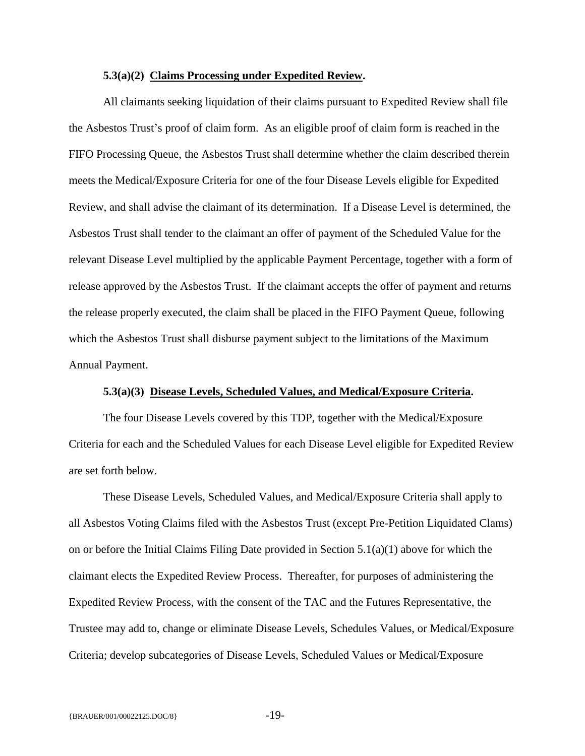## **5.3(a)(2) Claims Processing under Expedited Review.**

All claimants seeking liquidation of their claims pursuant to Expedited Review shall file the Asbestos Trust's proof of claim form. As an eligible proof of claim form is reached in the FIFO Processing Queue, the Asbestos Trust shall determine whether the claim described therein meets the Medical/Exposure Criteria for one of the four Disease Levels eligible for Expedited Review, and shall advise the claimant of its determination. If a Disease Level is determined, the Asbestos Trust shall tender to the claimant an offer of payment of the Scheduled Value for the relevant Disease Level multiplied by the applicable Payment Percentage, together with a form of release approved by the Asbestos Trust. If the claimant accepts the offer of payment and returns the release properly executed, the claim shall be placed in the FIFO Payment Queue, following which the Asbestos Trust shall disburse payment subject to the limitations of the Maximum Annual Payment.

## **5.3(a)(3) Disease Levels, Scheduled Values, and Medical/Exposure Criteria.**

The four Disease Levels covered by this TDP, together with the Medical/Exposure Criteria for each and the Scheduled Values for each Disease Level eligible for Expedited Review are set forth below.

These Disease Levels, Scheduled Values, and Medical/Exposure Criteria shall apply to all Asbestos Voting Claims filed with the Asbestos Trust (except Pre-Petition Liquidated Clams) on or before the Initial Claims Filing Date provided in Section  $5.1(a)(1)$  above for which the claimant elects the Expedited Review Process. Thereafter, for purposes of administering the Expedited Review Process, with the consent of the TAC and the Futures Representative, the Trustee may add to, change or eliminate Disease Levels, Schedules Values, or Medical/Exposure Criteria; develop subcategories of Disease Levels, Scheduled Values or Medical/Exposure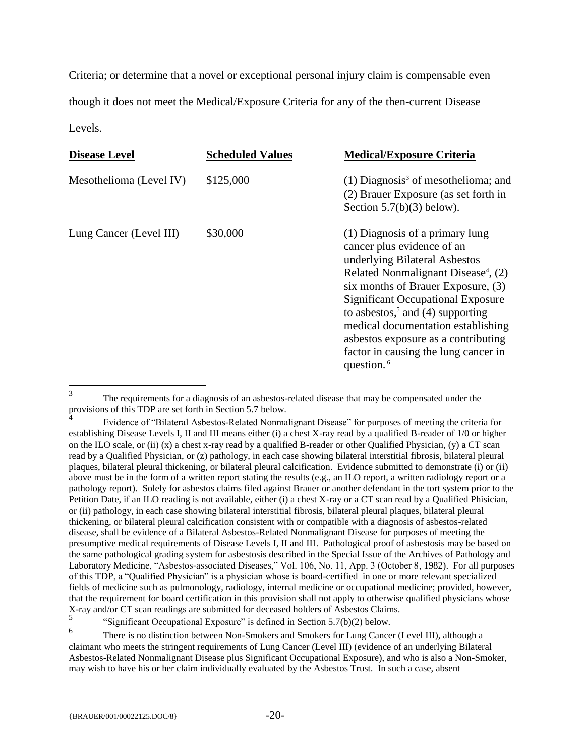Criteria; or determine that a novel or exceptional personal injury claim is compensable even though it does not meet the Medical/Exposure Criteria for any of the then-current Disease Levels.

| <b>Disease Level</b>    | <b>Scheduled Values</b> | <b>Medical/Exposure Criteria</b>                                                                                                                                                                                                                                                                                                                                                                                                   |
|-------------------------|-------------------------|------------------------------------------------------------------------------------------------------------------------------------------------------------------------------------------------------------------------------------------------------------------------------------------------------------------------------------------------------------------------------------------------------------------------------------|
| Mesothelioma (Level IV) | \$125,000               | $(1)$ Diagnosis <sup>3</sup> of mesothelioma; and<br>(2) Brauer Exposure (as set forth in<br>Section $5.7(b)(3)$ below).                                                                                                                                                                                                                                                                                                           |
| Lung Cancer (Level III) | \$30,000                | (1) Diagnosis of a primary lung<br>cancer plus evidence of an<br>underlying Bilateral Asbestos<br>Related Nonmalignant Disease <sup>4</sup> , (2)<br>six months of Brauer Exposure, (3)<br><b>Significant Occupational Exposure</b><br>to asbestos, <sup>5</sup> and (4) supporting<br>medical documentation establishing<br>asbestos exposure as a contributing<br>factor in causing the lung cancer in<br>question. <sup>6</sup> |

<sup>3</sup> The requirements for a diagnosis of an asbestos-related disease that may be compensated under the provisions of this TDP are set forth in Section 5.7 below. 4

Evidence of "Bilateral Asbestos-Related Nonmalignant Disease" for purposes of meeting the criteria for establishing Disease Levels I, II and III means either (i) a chest X-ray read by a qualified B-reader of 1/0 or higher on the ILO scale, or (ii) (x) a chest x-ray read by a qualified B-reader or other Qualified Physician, (y) a CT scan read by a Qualified Physician, or (z) pathology, in each case showing bilateral interstitial fibrosis, bilateral pleural plaques, bilateral pleural thickening, or bilateral pleural calcification. Evidence submitted to demonstrate (i) or (ii) above must be in the form of a written report stating the results (e.g., an ILO report, a written radiology report or a pathology report). Solely for asbestos claims filed against Brauer or another defendant in the tort system prior to the Petition Date, if an ILO reading is not available, either (i) a chest X-ray or a CT scan read by a Qualified Phisician, or (ii) pathology, in each case showing bilateral interstitial fibrosis, bilateral pleural plaques, bilateral pleural thickening, or bilateral pleural calcification consistent with or compatible with a diagnosis of asbestos-related disease, shall be evidence of a Bilateral Asbestos-Related Nonmalignant Disease for purposes of meeting the presumptive medical requirements of Disease Levels I, II and III. Pathological proof of asbestosis may be based on the same pathological grading system for asbestosis described in the Special Issue of the Archives of Pathology and Laboratory Medicine, "Asbestos-associated Diseases," Vol. 106, No. 11, App. 3 (October 8, 1982). For all purposes of this TDP, a "Qualified Physician" is a physician whose is board-certified in one or more relevant specialized fields of medicine such as pulmonology, radiology, internal medicine or occupational medicine; provided, however, that the requirement for board certification in this provision shall not apply to otherwise qualified physicians whose X-ray and/or CT scan readings are submitted for deceased holders of Asbestos Claims.

<sup>5</sup> "Significant Occupational Exposure" is defined in Section 5.7(b)(2) below.

<sup>6</sup> There is no distinction between Non-Smokers and Smokers for Lung Cancer (Level III), although a claimant who meets the stringent requirements of Lung Cancer (Level III) (evidence of an underlying Bilateral Asbestos-Related Nonmalignant Disease plus Significant Occupational Exposure), and who is also a Non-Smoker, may wish to have his or her claim individually evaluated by the Asbestos Trust. In such a case, absent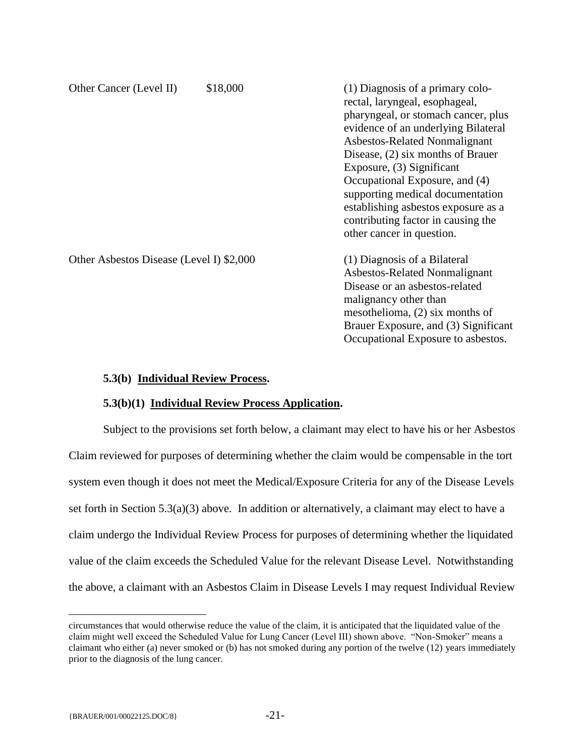| Other Cancer (Level II)                  | \$18,000 | (1) Diagnosis of a primary colo-<br>rectal, laryngeal, esophageal,<br>pharyngeal, or stomach cancer, plus<br>evidence of an underlying Bilateral<br>Asbestos-Related Nonmalignant<br>Disease, (2) six months of Brauer<br>Exposure, (3) Significant<br>Occupational Exposure, and (4)<br>supporting medical documentation<br>establishing asbestos exposure as a<br>contributing factor in causing the<br>other cancer in question. |
|------------------------------------------|----------|-------------------------------------------------------------------------------------------------------------------------------------------------------------------------------------------------------------------------------------------------------------------------------------------------------------------------------------------------------------------------------------------------------------------------------------|
| Other Asbestos Disease (Level I) \$2,000 |          | (1) Diagnosis of a Bilateral<br>Asbestos-Related Nonmalignant<br>Disease or an asbestos-related<br>malignancy other than<br>mesothelioma, $(2)$ six months of<br>Brauer Exposure, and (3) Significant<br>Occupational Exposure to asbestos.                                                                                                                                                                                         |

## <span id="page-22-0"></span>**5.3(b) Individual Review Process.**

## **5.3(b)(1) Individual Review Process Application.**

Subject to the provisions set forth below, a claimant may elect to have his or her Asbestos Claim reviewed for purposes of determining whether the claim would be compensable in the tort system even though it does not meet the Medical/Exposure Criteria for any of the Disease Levels set forth in Section 5.3(a)(3) above. In addition or alternatively, a claimant may elect to have a claim undergo the Individual Review Process for purposes of determining whether the liquidated value of the claim exceeds the Scheduled Value for the relevant Disease Level. Notwithstanding the above, a claimant with an Asbestos Claim in Disease Levels I may request Individual Review

 $\overline{a}$ 

circumstances that would otherwise reduce the value of the claim, it is anticipated that the liquidated value of the claim might well exceed the Scheduled Value for Lung Cancer (Level III) shown above. "Non-Smoker" means a claimant who either (a) never smoked or (b) has not smoked during any portion of the twelve (12) years immediately prior to the diagnosis of the lung cancer.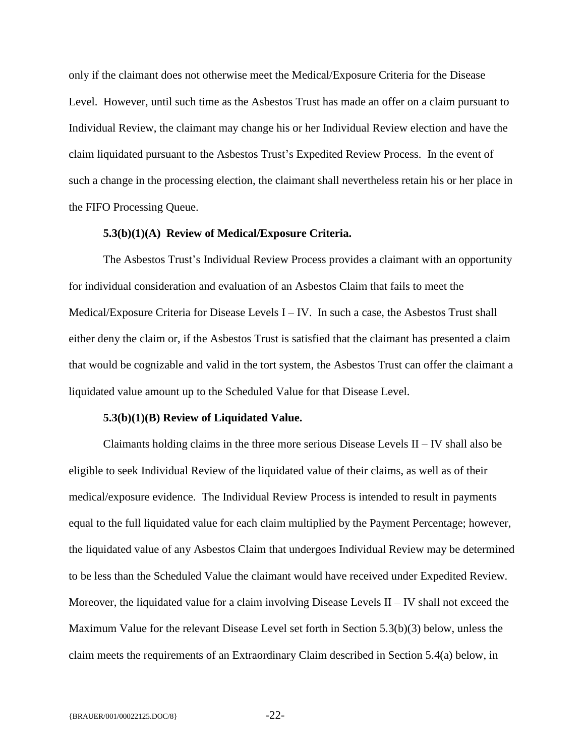only if the claimant does not otherwise meet the Medical/Exposure Criteria for the Disease Level. However, until such time as the Asbestos Trust has made an offer on a claim pursuant to Individual Review, the claimant may change his or her Individual Review election and have the claim liquidated pursuant to the Asbestos Trust's Expedited Review Process. In the event of such a change in the processing election, the claimant shall nevertheless retain his or her place in the FIFO Processing Queue.

#### **5.3(b)(1)(A) Review of Medical/Exposure Criteria.**

The Asbestos Trust's Individual Review Process provides a claimant with an opportunity for individual consideration and evaluation of an Asbestos Claim that fails to meet the Medical/Exposure Criteria for Disease Levels  $I - IV$ . In such a case, the Asbestos Trust shall either deny the claim or, if the Asbestos Trust is satisfied that the claimant has presented a claim that would be cognizable and valid in the tort system, the Asbestos Trust can offer the claimant a liquidated value amount up to the Scheduled Value for that Disease Level.

#### **5.3(b)(1)(B) Review of Liquidated Value.**

Claimants holding claims in the three more serious Disease Levels  $II - IV$  shall also be eligible to seek Individual Review of the liquidated value of their claims, as well as of their medical/exposure evidence.The Individual Review Process is intended to result in payments equal to the full liquidated value for each claim multiplied by the Payment Percentage; however, the liquidated value of any Asbestos Claim that undergoes Individual Review may be determined to be less than the Scheduled Value the claimant would have received under Expedited Review. Moreover, the liquidated value for a claim involving Disease Levels II *–* IV shall not exceed the Maximum Value for the relevant Disease Level set forth in Section 5.3(b)(3) below, unless the claim meets the requirements of an Extraordinary Claim described in Section 5.4(a) below, in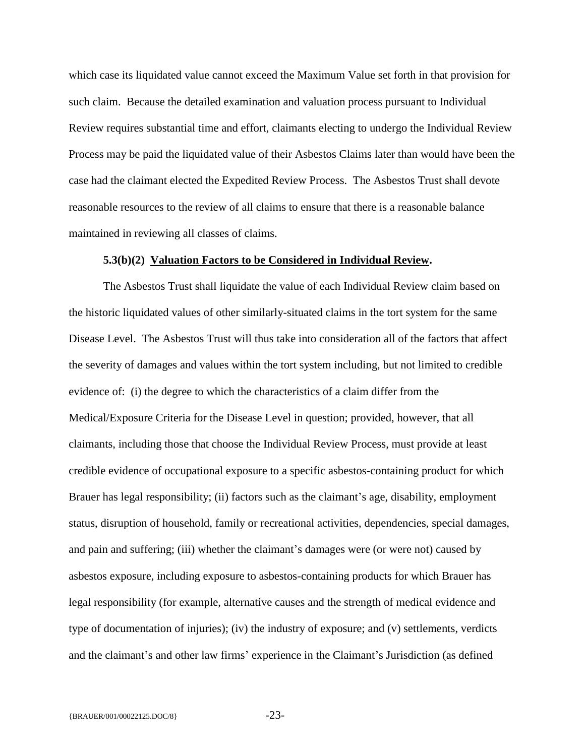which case its liquidated value cannot exceed the Maximum Value set forth in that provision for such claim. Because the detailed examination and valuation process pursuant to Individual Review requires substantial time and effort, claimants electing to undergo the Individual Review Process may be paid the liquidated value of their Asbestos Claims later than would have been the case had the claimant elected the Expedited Review Process. The Asbestos Trust shall devote reasonable resources to the review of all claims to ensure that there is a reasonable balance maintained in reviewing all classes of claims.

### **5.3(b)(2) Valuation Factors to be Considered in Individual Review.**

The Asbestos Trust shall liquidate the value of each Individual Review claim based on the historic liquidated values of other similarly-situated claims in the tort system for the same Disease Level. The Asbestos Trust will thus take into consideration all of the factors that affect the severity of damages and values within the tort system including, but not limited to credible evidence of: (i) the degree to which the characteristics of a claim differ from the Medical/Exposure Criteria for the Disease Level in question; provided, however, that all claimants, including those that choose the Individual Review Process, must provide at least credible evidence of occupational exposure to a specific asbestos-containing product for which Brauer has legal responsibility; (ii) factors such as the claimant's age, disability, employment status, disruption of household, family or recreational activities, dependencies, special damages, and pain and suffering; (iii) whether the claimant's damages were (or were not) caused by asbestos exposure, including exposure to asbestos-containing products for which Brauer has legal responsibility (for example, alternative causes and the strength of medical evidence and type of documentation of injuries); (iv) the industry of exposure; and (v) settlements, verdicts and the claimant's and other law firms' experience in the Claimant's Jurisdiction (as defined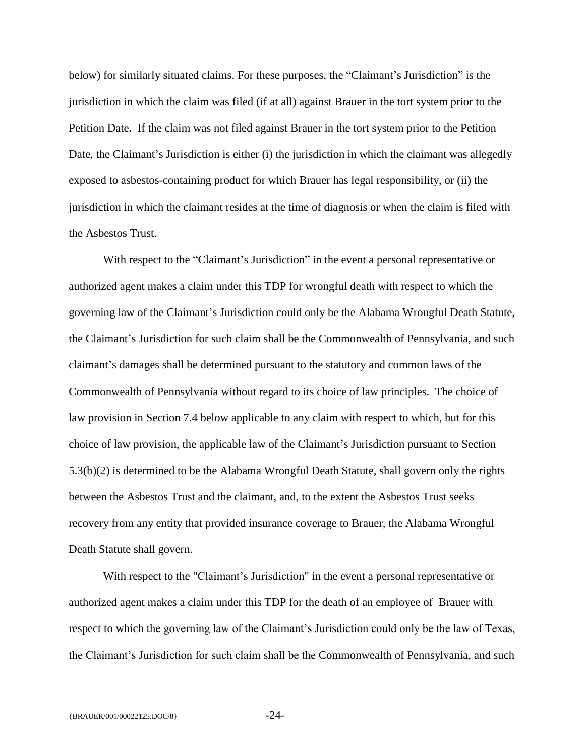below) for similarly situated claims. For these purposes, the "Claimant's Jurisdiction" is the jurisdiction in which the claim was filed (if at all) against Brauer in the tort system prior to the Petition Date**.** If the claim was not filed against Brauer in the tort system prior to the Petition Date, the Claimant's Jurisdiction is either (i) the jurisdiction in which the claimant was allegedly exposed to asbestos-containing product for which Brauer has legal responsibility, or (ii) the jurisdiction in which the claimant resides at the time of diagnosis or when the claim is filed with the Asbestos Trust.

With respect to the "Claimant's Jurisdiction" in the event a personal representative or authorized agent makes a claim under this TDP for wrongful death with respect to which the governing law of the Claimant's Jurisdiction could only be the Alabama Wrongful Death Statute, the Claimant's Jurisdiction for such claim shall be the Commonwealth of Pennsylvania, and such claimant's damages shall be determined pursuant to the statutory and common laws of the Commonwealth of Pennsylvania without regard to its choice of law principles. The choice of law provision in Section 7.4 below applicable to any claim with respect to which, but for this choice of law provision, the applicable law of the Claimant's Jurisdiction pursuant to Section 5.3(b)(2) is determined to be the Alabama Wrongful Death Statute, shall govern only the rights between the Asbestos Trust and the claimant, and, to the extent the Asbestos Trust seeks recovery from any entity that provided insurance coverage to Brauer, the Alabama Wrongful Death Statute shall govern.

With respect to the "Claimant's Jurisdiction" in the event a personal representative or authorized agent makes a claim under this TDP for the death of an employee of Brauer with respect to which the governing law of the Claimant's Jurisdiction could only be the law of Texas, the Claimant's Jurisdiction for such claim shall be the Commonwealth of Pennsylvania, and such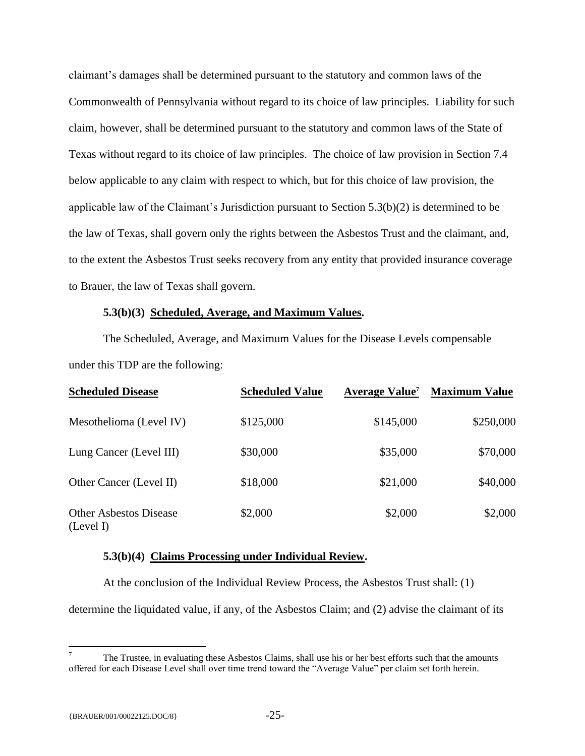claimant's damages shall be determined pursuant to the statutory and common laws of the Commonwealth of Pennsylvania without regard to its choice of law principles. Liability for such claim, however, shall be determined pursuant to the statutory and common laws of the State of Texas without regard to its choice of law principles. The choice of law provision in Section 7.4 below applicable to any claim with respect to which, but for this choice of law provision, the applicable law of the Claimant's Jurisdiction pursuant to Section 5.3(b)(2) is determined to be the law of Texas, shall govern only the rights between the Asbestos Trust and the claimant, and, to the extent the Asbestos Trust seeks recovery from any entity that provided insurance coverage to Brauer, the law of Texas shall govern.

## **5.3(b)(3) Scheduled, Average, and Maximum Values.**

The Scheduled, Average, and Maximum Values for the Disease Levels compensable under this TDP are the following:

| <b>Scheduled Disease</b>                   | <b>Scheduled Value</b> | Average Value <sup>7</sup> | <b>Maximum Value</b> |
|--------------------------------------------|------------------------|----------------------------|----------------------|
| Mesothelioma (Level IV)                    | \$125,000              | \$145,000                  | \$250,000            |
| Lung Cancer (Level III)                    | \$30,000               | \$35,000                   | \$70,000             |
| Other Cancer (Level II)                    | \$18,000               | \$21,000                   | \$40,000             |
| <b>Other Asbestos Disease</b><br>(Level I) | \$2,000                | \$2,000                    | \$2,000              |

## **5.3(b)(4) Claims Processing under Individual Review.**

At the conclusion of the Individual Review Process, the Asbestos Trust shall: (1)

determine the liquidated value, if any, of the Asbestos Claim; and (2) advise the claimant of its

 $\overline{a}$ 

<sup>7</sup> The Trustee, in evaluating these Asbestos Claims, shall use his or her best efforts such that the amounts offered for each Disease Level shall over time trend toward the "Average Value" per claim set forth herein.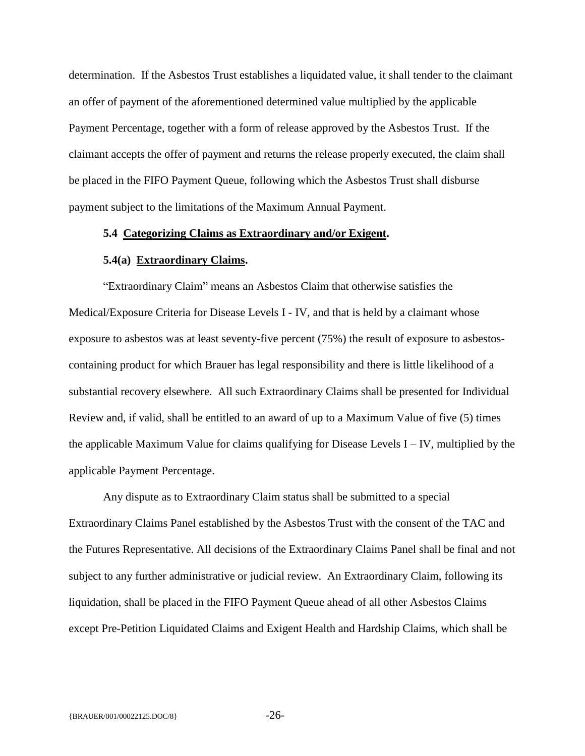determination. If the Asbestos Trust establishes a liquidated value, it shall tender to the claimant an offer of payment of the aforementioned determined value multiplied by the applicable Payment Percentage, together with a form of release approved by the Asbestos Trust. If the claimant accepts the offer of payment and returns the release properly executed, the claim shall be placed in the FIFO Payment Queue, following which the Asbestos Trust shall disburse payment subject to the limitations of the Maximum Annual Payment.

#### <span id="page-27-0"></span>**5.4 Categorizing Claims as Extraordinary and/or Exigent.**

## **5.4(a) Extraordinary Claims.**

<span id="page-27-1"></span>"Extraordinary Claim" means an Asbestos Claim that otherwise satisfies the Medical/Exposure Criteria for Disease Levels I - IV, and that is held by a claimant whose exposure to asbestos was at least seventy-five percent (75%) the result of exposure to asbestoscontaining product for which Brauer has legal responsibility and there is little likelihood of a substantial recovery elsewhere. All such Extraordinary Claims shall be presented for Individual Review and, if valid, shall be entitled to an award of up to a Maximum Value of five (5) times the applicable Maximum Value for claims qualifying for Disease Levels I – IV, multiplied by the applicable Payment Percentage.

Any dispute as to Extraordinary Claim status shall be submitted to a special Extraordinary Claims Panel established by the Asbestos Trust with the consent of the TAC and the Futures Representative. All decisions of the Extraordinary Claims Panel shall be final and not subject to any further administrative or judicial review. An Extraordinary Claim, following its liquidation, shall be placed in the FIFO Payment Queue ahead of all other Asbestos Claims except Pre-Petition Liquidated Claims and Exigent Health and Hardship Claims, which shall be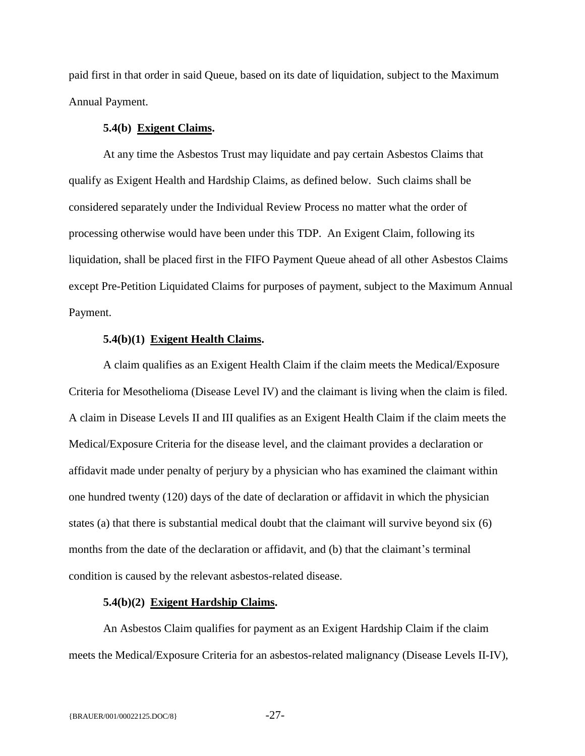paid first in that order in said Queue, based on its date of liquidation, subject to the Maximum Annual Payment.

## **5.4(b) Exigent Claims.**

<span id="page-28-0"></span>At any time the Asbestos Trust may liquidate and pay certain Asbestos Claims that qualify as Exigent Health and Hardship Claims, as defined below. Such claims shall be considered separately under the Individual Review Process no matter what the order of processing otherwise would have been under this TDP. An Exigent Claim, following its liquidation, shall be placed first in the FIFO Payment Queue ahead of all other Asbestos Claims except Pre-Petition Liquidated Claims for purposes of payment, subject to the Maximum Annual Payment.

## **5.4(b)(1) Exigent Health Claims.**

A claim qualifies as an Exigent Health Claim if the claim meets the Medical/Exposure Criteria for Mesothelioma (Disease Level IV) and the claimant is living when the claim is filed. A claim in Disease Levels II and III qualifies as an Exigent Health Claim if the claim meets the Medical/Exposure Criteria for the disease level, and the claimant provides a declaration or affidavit made under penalty of perjury by a physician who has examined the claimant within one hundred twenty (120) days of the date of declaration or affidavit in which the physician states (a) that there is substantial medical doubt that the claimant will survive beyond six (6) months from the date of the declaration or affidavit, and (b) that the claimant's terminal condition is caused by the relevant asbestos-related disease.

## **5.4(b)(2) Exigent Hardship Claims.**

An Asbestos Claim qualifies for payment as an Exigent Hardship Claim if the claim meets the Medical/Exposure Criteria for an asbestos-related malignancy (Disease Levels II-IV),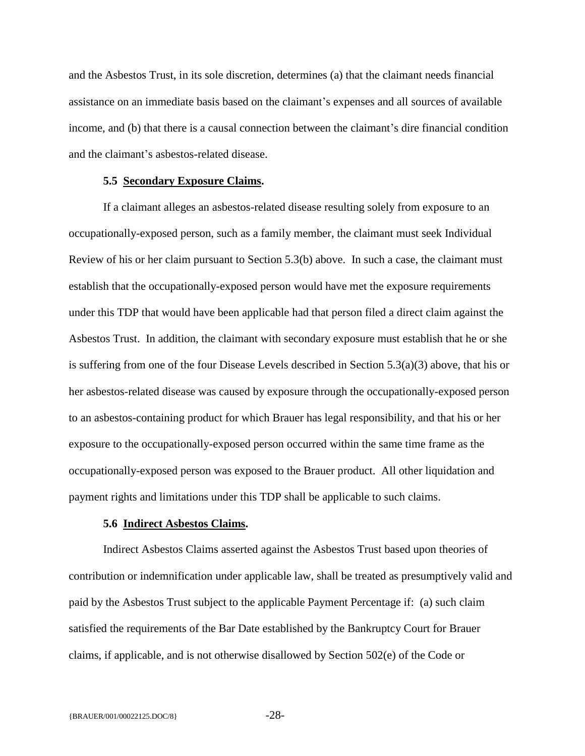and the Asbestos Trust, in its sole discretion, determines (a) that the claimant needs financial assistance on an immediate basis based on the claimant's expenses and all sources of available income, and (b) that there is a causal connection between the claimant's dire financial condition and the claimant's asbestos-related disease.

#### **5.5 Secondary Exposure Claims.**

<span id="page-29-0"></span>If a claimant alleges an asbestos-related disease resulting solely from exposure to an occupationally-exposed person, such as a family member, the claimant must seek Individual Review of his or her claim pursuant to Section 5.3(b) above. In such a case, the claimant must establish that the occupationally-exposed person would have met the exposure requirements under this TDP that would have been applicable had that person filed a direct claim against the Asbestos Trust. In addition, the claimant with secondary exposure must establish that he or she is suffering from one of the four Disease Levels described in Section 5.3(a)(3) above, that his or her asbestos-related disease was caused by exposure through the occupationally-exposed person to an asbestos-containing product for which Brauer has legal responsibility, and that his or her exposure to the occupationally-exposed person occurred within the same time frame as the occupationally-exposed person was exposed to the Brauer product.All other liquidation and payment rights and limitations under this TDP shall be applicable to such claims.

## **5.6 Indirect Asbestos Claims.**

<span id="page-29-1"></span>Indirect Asbestos Claims asserted against the Asbestos Trust based upon theories of contribution or indemnification under applicable law, shall be treated as presumptively valid and paid by the Asbestos Trust subject to the applicable Payment Percentage if: (a) such claim satisfied the requirements of the Bar Date established by the Bankruptcy Court for Brauer claims, if applicable, and is not otherwise disallowed by Section 502(e) of the Code or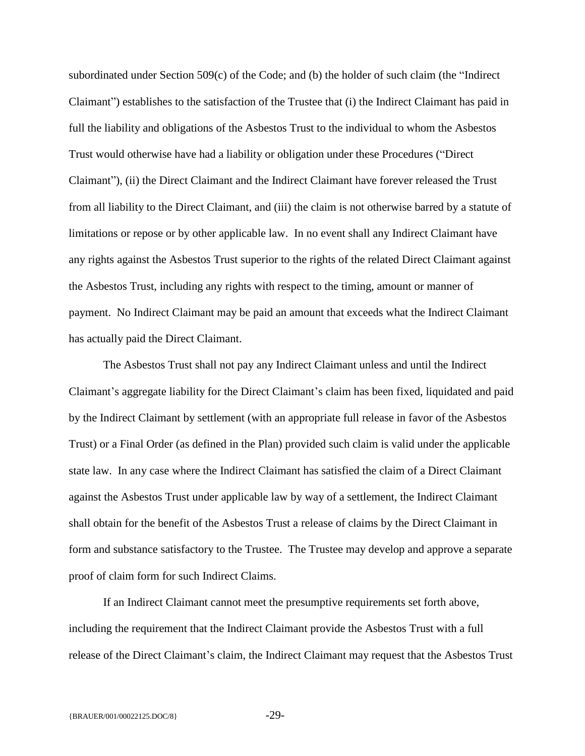subordinated under Section 509(c) of the Code; and (b) the holder of such claim (the "Indirect Claimant") establishes to the satisfaction of the Trustee that (i) the Indirect Claimant has paid in full the liability and obligations of the Asbestos Trust to the individual to whom the Asbestos Trust would otherwise have had a liability or obligation under these Procedures ("Direct Claimant"), (ii) the Direct Claimant and the Indirect Claimant have forever released the Trust from all liability to the Direct Claimant, and (iii) the claim is not otherwise barred by a statute of limitations or repose or by other applicable law. In no event shall any Indirect Claimant have any rights against the Asbestos Trust superior to the rights of the related Direct Claimant against the Asbestos Trust, including any rights with respect to the timing, amount or manner of payment. No Indirect Claimant may be paid an amount that exceeds what the Indirect Claimant has actually paid the Direct Claimant.

The Asbestos Trust shall not pay any Indirect Claimant unless and until the Indirect Claimant's aggregate liability for the Direct Claimant's claim has been fixed, liquidated and paid by the Indirect Claimant by settlement (with an appropriate full release in favor of the Asbestos Trust) or a Final Order (as defined in the Plan) provided such claim is valid under the applicable state law. In any case where the Indirect Claimant has satisfied the claim of a Direct Claimant against the Asbestos Trust under applicable law by way of a settlement, the Indirect Claimant shall obtain for the benefit of the Asbestos Trust a release of claims by the Direct Claimant in form and substance satisfactory to the Trustee. The Trustee may develop and approve a separate proof of claim form for such Indirect Claims.

If an Indirect Claimant cannot meet the presumptive requirements set forth above, including the requirement that the Indirect Claimant provide the Asbestos Trust with a full release of the Direct Claimant's claim, the Indirect Claimant may request that the Asbestos Trust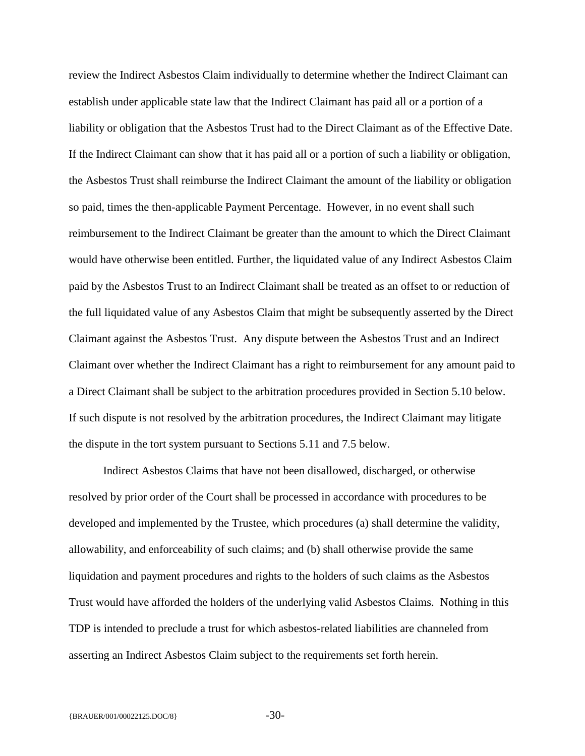review the Indirect Asbestos Claim individually to determine whether the Indirect Claimant can establish under applicable state law that the Indirect Claimant has paid all or a portion of a liability or obligation that the Asbestos Trust had to the Direct Claimant as of the Effective Date. If the Indirect Claimant can show that it has paid all or a portion of such a liability or obligation, the Asbestos Trust shall reimburse the Indirect Claimant the amount of the liability or obligation so paid, times the then-applicable Payment Percentage. However, in no event shall such reimbursement to the Indirect Claimant be greater than the amount to which the Direct Claimant would have otherwise been entitled. Further, the liquidated value of any Indirect Asbestos Claim paid by the Asbestos Trust to an Indirect Claimant shall be treated as an offset to or reduction of the full liquidated value of any Asbestos Claim that might be subsequently asserted by the Direct Claimant against the Asbestos Trust. Any dispute between the Asbestos Trust and an Indirect Claimant over whether the Indirect Claimant has a right to reimbursement for any amount paid to a Direct Claimant shall be subject to the arbitration procedures provided in Section 5.10 below. If such dispute is not resolved by the arbitration procedures, the Indirect Claimant may litigate the dispute in the tort system pursuant to Sections 5.11 and 7.5 below.

Indirect Asbestos Claims that have not been disallowed, discharged, or otherwise resolved by prior order of the Court shall be processed in accordance with procedures to be developed and implemented by the Trustee, which procedures (a) shall determine the validity, allowability, and enforceability of such claims; and (b) shall otherwise provide the same liquidation and payment procedures and rights to the holders of such claims as the Asbestos Trust would have afforded the holders of the underlying valid Asbestos Claims. Nothing in this TDP is intended to preclude a trust for which asbestos-related liabilities are channeled from asserting an Indirect Asbestos Claim subject to the requirements set forth herein.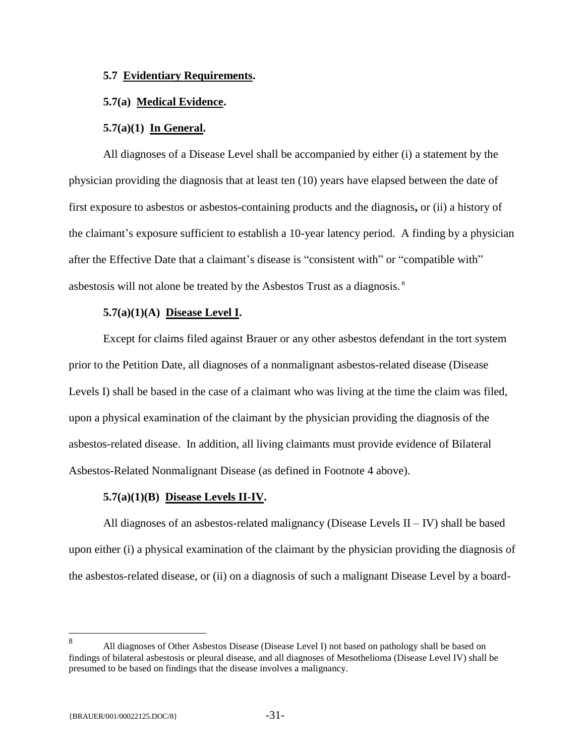## <span id="page-32-0"></span>**5.7 Evidentiary Requirements.**

## <span id="page-32-1"></span>**5.7(a) Medical Evidence.**

#### **5.7(a)(1) In General.**

All diagnoses of a Disease Level shall be accompanied by either (i) a statement by the physician providing the diagnosis that at least ten (10) years have elapsed between the date of first exposure to asbestos or asbestos-containing products and the diagnosis**,** or (ii) a history of the claimant's exposure sufficient to establish a 10-year latency period. A finding by a physician after the Effective Date that a claimant's disease is "consistent with" or "compatible with" asbestosis will not alone be treated by the Asbestos Trust as a diagnosis. <sup>8</sup>

#### **5.7(a)(1)(A) Disease Level I.**

Except for claims filed against Brauer or any other asbestos defendant in the tort system prior to the Petition Date, all diagnoses of a nonmalignant asbestos-related disease (Disease Levels I) shall be based in the case of a claimant who was living at the time the claim was filed, upon a physical examination of the claimant by the physician providing the diagnosis of the asbestos-related disease. In addition, all living claimants must provide evidence of Bilateral Asbestos-Related Nonmalignant Disease (as defined in Footnote 4 above).

#### **5.7(a)(1)(B) Disease Levels II-IV.**

All diagnoses of an asbestos-related malignancy (Disease Levels  $II - IV$ ) shall be based upon either (i) a physical examination of the claimant by the physician providing the diagnosis of the asbestos-related disease, or (ii) on a diagnosis of such a malignant Disease Level by a board-

 8 All diagnoses of Other Asbestos Disease (Disease Level I) not based on pathology shall be based on findings of bilateral asbestosis or pleural disease, and all diagnoses of Mesothelioma (Disease Level IV) shall be presumed to be based on findings that the disease involves a malignancy.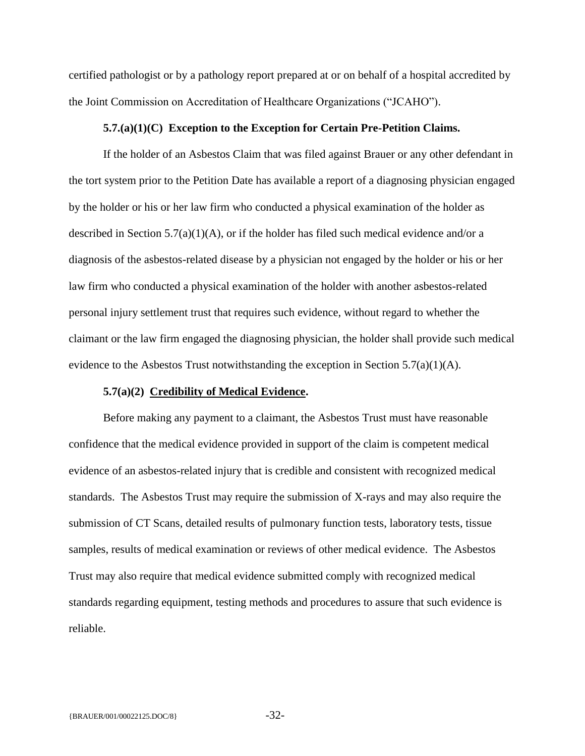certified pathologist or by a pathology report prepared at or on behalf of a hospital accredited by the Joint Commission on Accreditation of Healthcare Organizations ("JCAHO").

## **5.7.(a)(1)(C) Exception to the Exception for Certain Pre-Petition Claims.**

If the holder of an Asbestos Claim that was filed against Brauer or any other defendant in the tort system prior to the Petition Date has available a report of a diagnosing physician engaged by the holder or his or her law firm who conducted a physical examination of the holder as described in Section  $5.7(a)(1)(A)$ , or if the holder has filed such medical evidence and/or a diagnosis of the asbestos-related disease by a physician not engaged by the holder or his or her law firm who conducted a physical examination of the holder with another asbestos-related personal injury settlement trust that requires such evidence, without regard to whether the claimant or the law firm engaged the diagnosing physician, the holder shall provide such medical evidence to the Asbestos Trust notwithstanding the exception in Section 5.7(a)(1)(A).

#### **5.7(a)(2) Credibility of Medical Evidence.**

Before making any payment to a claimant, the Asbestos Trust must have reasonable confidence that the medical evidence provided in support of the claim is competent medical evidence of an asbestos-related injury that is credible and consistent with recognized medical standards. The Asbestos Trust may require the submission of X-rays and may also require the submission of CT Scans, detailed results of pulmonary function tests, laboratory tests, tissue samples, results of medical examination or reviews of other medical evidence. The Asbestos Trust may also require that medical evidence submitted comply with recognized medical standards regarding equipment, testing methods and procedures to assure that such evidence is reliable.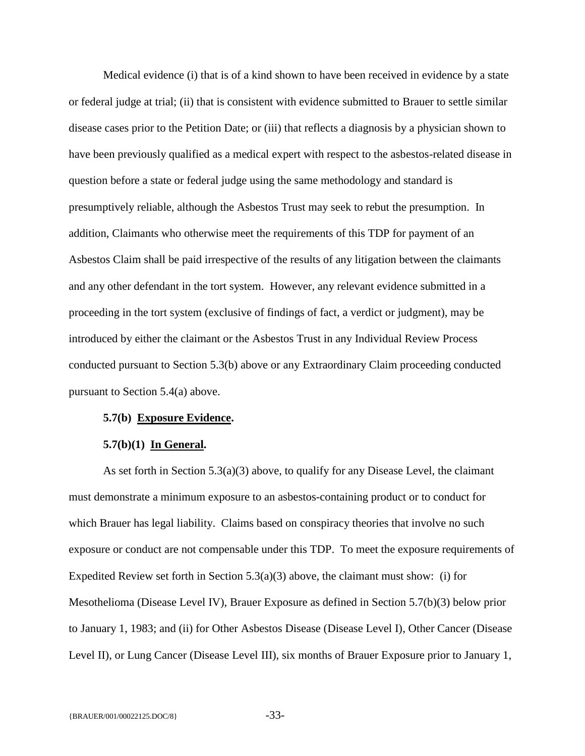Medical evidence (i) that is of a kind shown to have been received in evidence by a state or federal judge at trial; (ii) that is consistent with evidence submitted to Brauer to settle similar disease cases prior to the Petition Date; or (iii) that reflects a diagnosis by a physician shown to have been previously qualified as a medical expert with respect to the asbestos-related disease in question before a state or federal judge using the same methodology and standard is presumptively reliable, although the Asbestos Trust may seek to rebut the presumption. In addition, Claimants who otherwise meet the requirements of this TDP for payment of an Asbestos Claim shall be paid irrespective of the results of any litigation between the claimants and any other defendant in the tort system. However, any relevant evidence submitted in a proceeding in the tort system (exclusive of findings of fact, a verdict or judgment), may be introduced by either the claimant or the Asbestos Trust in any Individual Review Process conducted pursuant to Section 5.3(b) above or any Extraordinary Claim proceeding conducted pursuant to Section 5.4(a) above.

#### <span id="page-34-0"></span>**5.7(b) Exposure Evidence.**

#### **5.7(b)(1) In General.**

As set forth in Section 5.3(a)(3) above, to qualify for any Disease Level, the claimant must demonstrate a minimum exposure to an asbestos-containing product or to conduct for which Brauer has legal liability. Claims based on conspiracy theories that involve no such exposure or conduct are not compensable under this TDP. To meet the exposure requirements of Expedited Review set forth in Section  $5.3(a)(3)$  above, the claimant must show: (i) for Mesothelioma (Disease Level IV), Brauer Exposure as defined in Section 5.7(b)(3) below prior to January 1, 1983; and (ii) for Other Asbestos Disease (Disease Level I), Other Cancer (Disease Level II), or Lung Cancer (Disease Level III), six months of Brauer Exposure prior to January 1,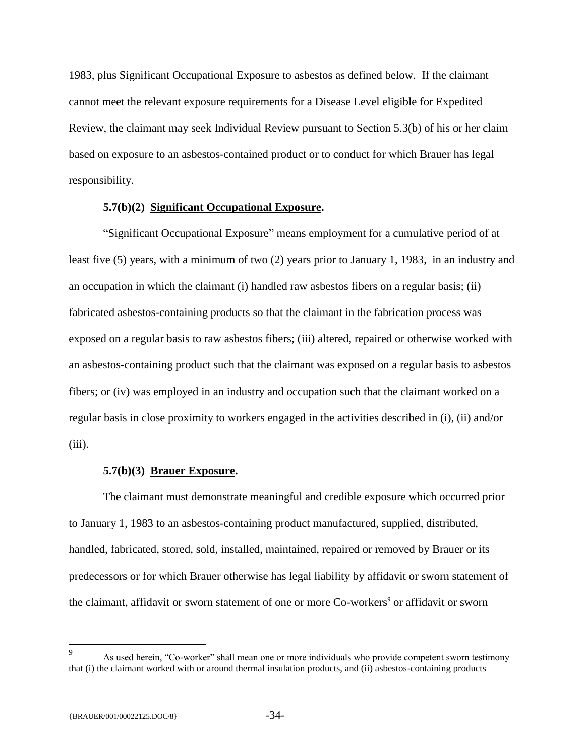1983, plus Significant Occupational Exposure to asbestos as defined below. If the claimant cannot meet the relevant exposure requirements for a Disease Level eligible for Expedited Review, the claimant may seek Individual Review pursuant to Section 5.3(b) of his or her claim based on exposure to an asbestos-contained product or to conduct for which Brauer has legal responsibility.

## **5.7(b)(2) Significant Occupational Exposure.**

"Significant Occupational Exposure" means employment for a cumulative period of at least five (5) years, with a minimum of two (2) years prior to January 1, 1983, in an industry and an occupation in which the claimant (i) handled raw asbestos fibers on a regular basis; (ii) fabricated asbestos-containing products so that the claimant in the fabrication process was exposed on a regular basis to raw asbestos fibers; (iii) altered, repaired or otherwise worked with an asbestos-containing product such that the claimant was exposed on a regular basis to asbestos fibers; or (iv) was employed in an industry and occupation such that the claimant worked on a regular basis in close proximity to workers engaged in the activities described in (i), (ii) and/or  $(iii)$ .

## **5.7(b)(3) Brauer Exposure.**

The claimant must demonstrate meaningful and credible exposure which occurred prior to January 1, 1983 to an asbestos-containing product manufactured, supplied, distributed, handled, fabricated, stored, sold, installed, maintained, repaired or removed by Brauer or its predecessors or for which Brauer otherwise has legal liability by affidavit or sworn statement of the claimant, affidavit or sworn statement of one or more Co-workers<sup>9</sup> or affidavit or sworn

<sup>—&</sup>lt;br>9 As used herein, "Co-worker" shall mean one or more individuals who provide competent sworn testimony that (i) the claimant worked with or around thermal insulation products, and (ii) asbestos-containing products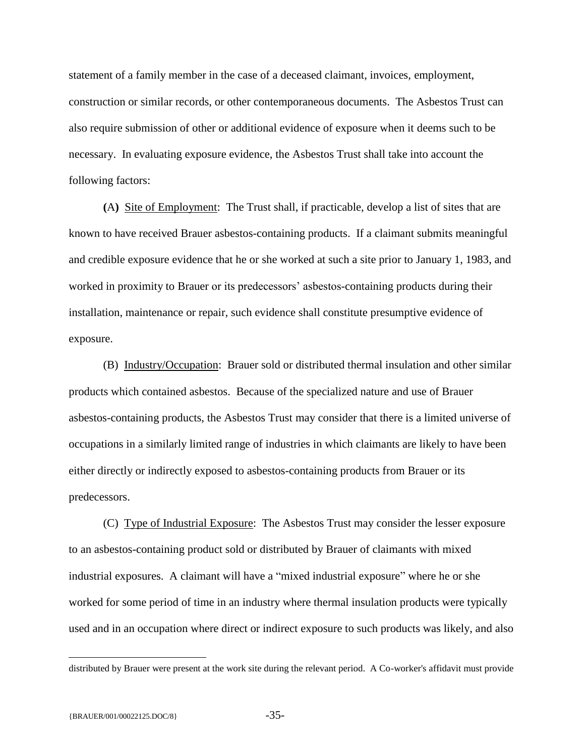statement of a family member in the case of a deceased claimant, invoices, employment, construction or similar records, or other contemporaneous documents. The Asbestos Trust can also require submission of other or additional evidence of exposure when it deems such to be necessary. In evaluating exposure evidence, the Asbestos Trust shall take into account the following factors:

**(**A**)** Site of Employment: The Trust shall, if practicable, develop a list of sites that are known to have received Brauer asbestos-containing products. If a claimant submits meaningful and credible exposure evidence that he or she worked at such a site prior to January 1, 1983, and worked in proximity to Brauer or its predecessors' asbestos-containing products during their installation, maintenance or repair, such evidence shall constitute presumptive evidence of exposure.

(B) Industry/Occupation: Brauer sold or distributed thermal insulation and other similar products which contained asbestos. Because of the specialized nature and use of Brauer asbestos-containing products, the Asbestos Trust may consider that there is a limited universe of occupations in a similarly limited range of industries in which claimants are likely to have been either directly or indirectly exposed to asbestos-containing products from Brauer or its predecessors.

(C) Type of Industrial Exposure: The Asbestos Trust may consider the lesser exposure to an asbestos-containing product sold or distributed by Brauer of claimants with mixed industrial exposures. A claimant will have a "mixed industrial exposure" where he or she worked for some period of time in an industry where thermal insulation products were typically used and in an occupation where direct or indirect exposure to such products was likely, and also

 $\overline{a}$ 

distributed by Brauer were present at the work site during the relevant period. A Co-worker's affidavit must provide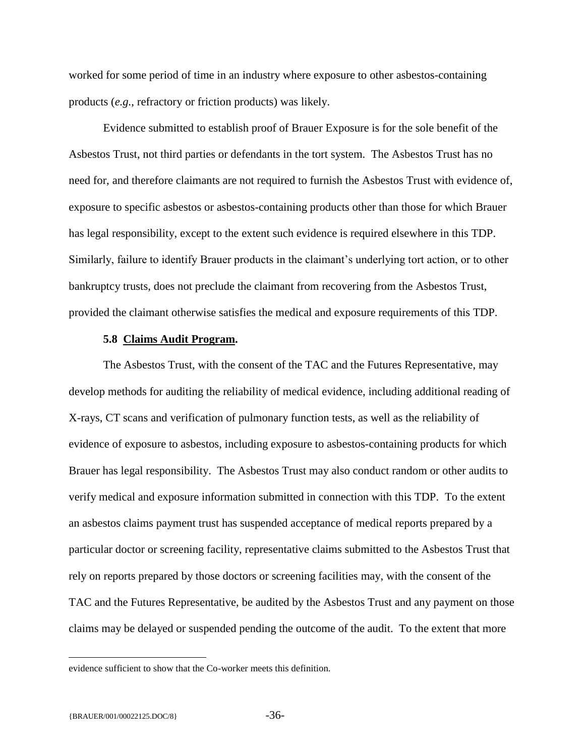worked for some period of time in an industry where exposure to other asbestos-containing products (*e.g.*, refractory or friction products) was likely.

Evidence submitted to establish proof of Brauer Exposure is for the sole benefit of the Asbestos Trust, not third parties or defendants in the tort system. The Asbestos Trust has no need for, and therefore claimants are not required to furnish the Asbestos Trust with evidence of, exposure to specific asbestos or asbestos-containing products other than those for which Brauer has legal responsibility, except to the extent such evidence is required elsewhere in this TDP. Similarly, failure to identify Brauer products in the claimant's underlying tort action, or to other bankruptcy trusts, does not preclude the claimant from recovering from the Asbestos Trust, provided the claimant otherwise satisfies the medical and exposure requirements of this TDP.

## **5.8 Claims Audit Program.**

<span id="page-37-0"></span>The Asbestos Trust, with the consent of the TAC and the Futures Representative, may develop methods for auditing the reliability of medical evidence, including additional reading of X-rays, CT scans and verification of pulmonary function tests, as well as the reliability of evidence of exposure to asbestos, including exposure to asbestos-containing products for which Brauer has legal responsibility. The Asbestos Trust may also conduct random or other audits to verify medical and exposure information submitted in connection with this TDP. To the extent an asbestos claims payment trust has suspended acceptance of medical reports prepared by a particular doctor or screening facility, representative claims submitted to the Asbestos Trust that rely on reports prepared by those doctors or screening facilities may, with the consent of the TAC and the Futures Representative, be audited by the Asbestos Trust and any payment on those claims may be delayed or suspended pending the outcome of the audit. To the extent that more

 $\overline{a}$ 

evidence sufficient to show that the Co-worker meets this definition.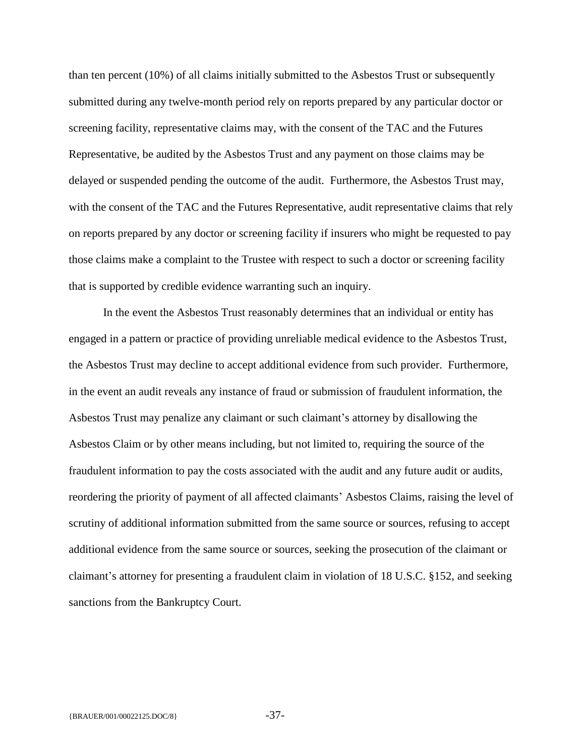than ten percent (10%) of all claims initially submitted to the Asbestos Trust or subsequently submitted during any twelve-month period rely on reports prepared by any particular doctor or screening facility, representative claims may, with the consent of the TAC and the Futures Representative, be audited by the Asbestos Trust and any payment on those claims may be delayed or suspended pending the outcome of the audit. Furthermore, the Asbestos Trust may, with the consent of the TAC and the Futures Representative, audit representative claims that rely on reports prepared by any doctor or screening facility if insurers who might be requested to pay those claims make a complaint to the Trustee with respect to such a doctor or screening facility that is supported by credible evidence warranting such an inquiry.

In the event the Asbestos Trust reasonably determines that an individual or entity has engaged in a pattern or practice of providing unreliable medical evidence to the Asbestos Trust, the Asbestos Trust may decline to accept additional evidence from such provider. Furthermore, in the event an audit reveals any instance of fraud or submission of fraudulent information, the Asbestos Trust may penalize any claimant or such claimant's attorney by disallowing the Asbestos Claim or by other means including, but not limited to, requiring the source of the fraudulent information to pay the costs associated with the audit and any future audit or audits, reordering the priority of payment of all affected claimants' Asbestos Claims, raising the level of scrutiny of additional information submitted from the same source or sources, refusing to accept additional evidence from the same source or sources, seeking the prosecution of the claimant or claimant's attorney for presenting a fraudulent claim in violation of 18 U.S.C. §152, and seeking sanctions from the Bankruptcy Court.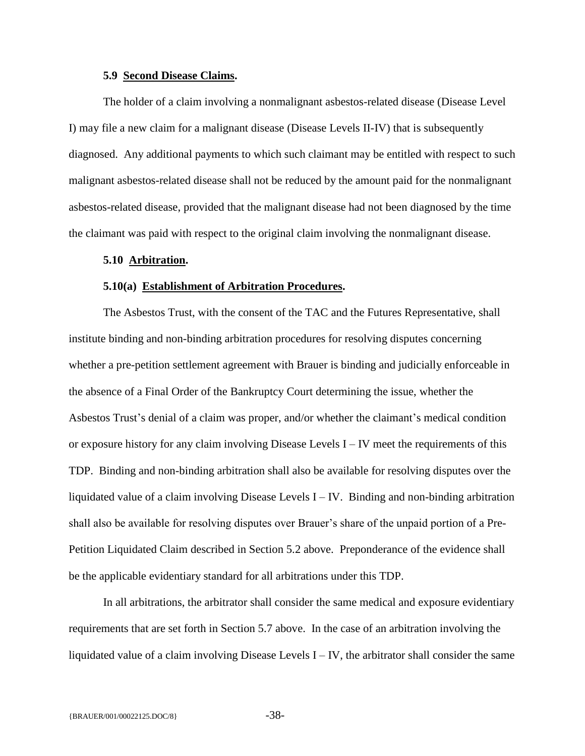#### **5.9 Second Disease Claims.**

<span id="page-39-0"></span>The holder of a claim involving a nonmalignant asbestos-related disease (Disease Level I) may file a new claim for a malignant disease (Disease Levels II-IV) that is subsequently diagnosed. Any additional payments to which such claimant may be entitled with respect to such malignant asbestos-related disease shall not be reduced by the amount paid for the nonmalignant asbestos-related disease, provided that the malignant disease had not been diagnosed by the time the claimant was paid with respect to the original claim involving the nonmalignant disease.

#### <span id="page-39-1"></span>**5.10 Arbitration.**

#### **5.10(a) Establishment of Arbitration Procedures.**

<span id="page-39-2"></span>The Asbestos Trust, with the consent of the TAC and the Futures Representative, shall institute binding and non-binding arbitration procedures for resolving disputes concerning whether a pre-petition settlement agreement with Brauer is binding and judicially enforceable in the absence of a Final Order of the Bankruptcy Court determining the issue, whether the Asbestos Trust's denial of a claim was proper, and/or whether the claimant's medical condition or exposure history for any claim involving Disease Levels I – IV meet the requirements of this TDP. Binding and non-binding arbitration shall also be available for resolving disputes over the liquidated value of a claim involving Disease Levels I – IV. Binding and non-binding arbitration shall also be available for resolving disputes over Brauer's share of the unpaid portion of a Pre-Petition Liquidated Claim described in Section 5.2 above. Preponderance of the evidence shall be the applicable evidentiary standard for all arbitrations under this TDP.

In all arbitrations, the arbitrator shall consider the same medical and exposure evidentiary requirements that are set forth in Section 5.7 above. In the case of an arbitration involving the liquidated value of a claim involving Disease Levels  $I - IV$ , the arbitrator shall consider the same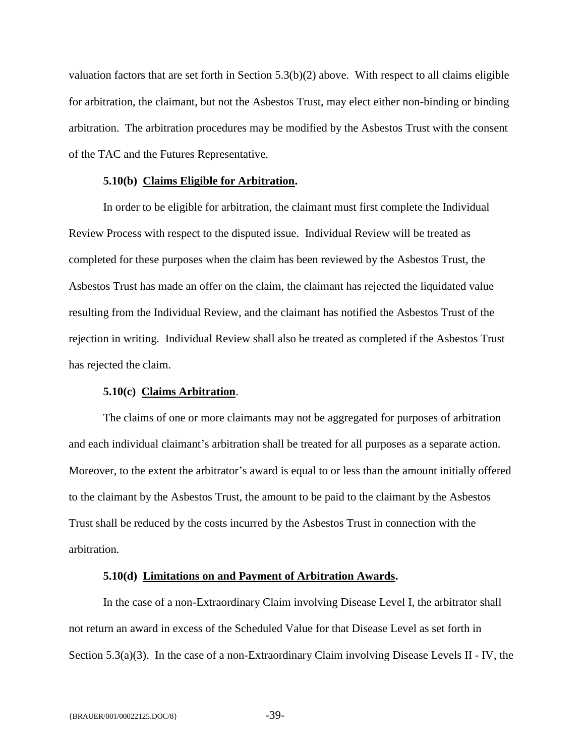valuation factors that are set forth in Section 5.3(b)(2) above. With respect to all claims eligible for arbitration, the claimant, but not the Asbestos Trust, may elect either non-binding or binding arbitration. The arbitration procedures may be modified by the Asbestos Trust with the consent of the TAC and the Futures Representative.

## **5.10(b) Claims Eligible for Arbitration.**

<span id="page-40-0"></span>In order to be eligible for arbitration, the claimant must first complete the Individual Review Process with respect to the disputed issue. Individual Review will be treated as completed for these purposes when the claim has been reviewed by the Asbestos Trust, the Asbestos Trust has made an offer on the claim, the claimant has rejected the liquidated value resulting from the Individual Review, and the claimant has notified the Asbestos Trust of the rejection in writing. Individual Review shall also be treated as completed if the Asbestos Trust has rejected the claim.

## **5.10(c) Claims Arbitration**.

<span id="page-40-1"></span>The claims of one or more claimants may not be aggregated for purposes of arbitration and each individual claimant's arbitration shall be treated for all purposes as a separate action. Moreover, to the extent the arbitrator's award is equal to or less than the amount initially offered to the claimant by the Asbestos Trust, the amount to be paid to the claimant by the Asbestos Trust shall be reduced by the costs incurred by the Asbestos Trust in connection with the arbitration.

#### **5.10(d) Limitations on and Payment of Arbitration Awards.**

<span id="page-40-2"></span>In the case of a non-Extraordinary Claim involving Disease Level I, the arbitrator shall not return an award in excess of the Scheduled Value for that Disease Level as set forth in Section 5.3(a)(3). In the case of a non-Extraordinary Claim involving Disease Levels II - IV, the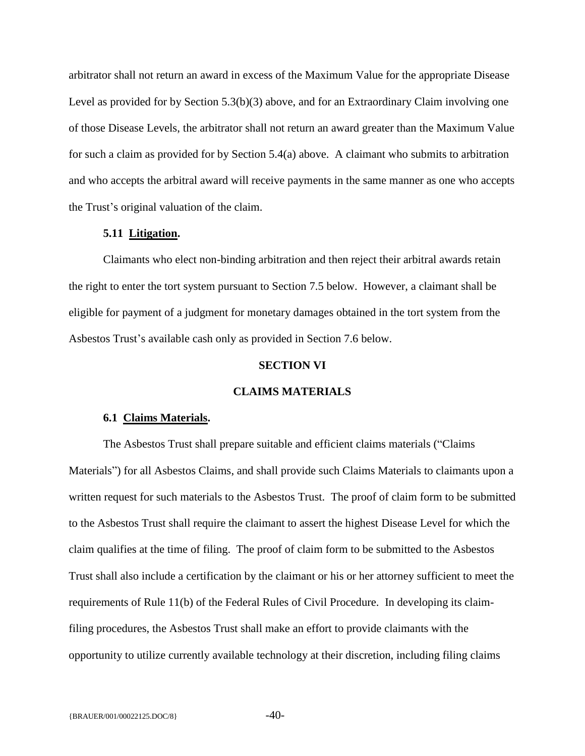arbitrator shall not return an award in excess of the Maximum Value for the appropriate Disease Level as provided for by Section 5.3(b)(3) above, and for an Extraordinary Claim involving one of those Disease Levels, the arbitrator shall not return an award greater than the Maximum Value for such a claim as provided for by Section 5.4(a) above. A claimant who submits to arbitration and who accepts the arbitral award will receive payments in the same manner as one who accepts the Trust's original valuation of the claim.

## **5.11 Litigation.**

<span id="page-41-0"></span>Claimants who elect non-binding arbitration and then reject their arbitral awards retain the right to enter the tort system pursuant to Section 7.5 below. However, a claimant shall be eligible for payment of a judgment for monetary damages obtained in the tort system from the Asbestos Trust's available cash only as provided in Section 7.6 below.

### **SECTION VI**

## **CLAIMS MATERIALS**

#### <span id="page-41-1"></span>**6.1 Claims Materials.**

<span id="page-41-2"></span>The Asbestos Trust shall prepare suitable and efficient claims materials ("Claims Materials") for all Asbestos Claims, and shall provide such Claims Materials to claimants upon a written request for such materials to the Asbestos Trust. The proof of claim form to be submitted to the Asbestos Trust shall require the claimant to assert the highest Disease Level for which the claim qualifies at the time of filing. The proof of claim form to be submitted to the Asbestos Trust shall also include a certification by the claimant or his or her attorney sufficient to meet the requirements of Rule 11(b) of the Federal Rules of Civil Procedure. In developing its claimfiling procedures, the Asbestos Trust shall make an effort to provide claimants with the opportunity to utilize currently available technology at their discretion, including filing claims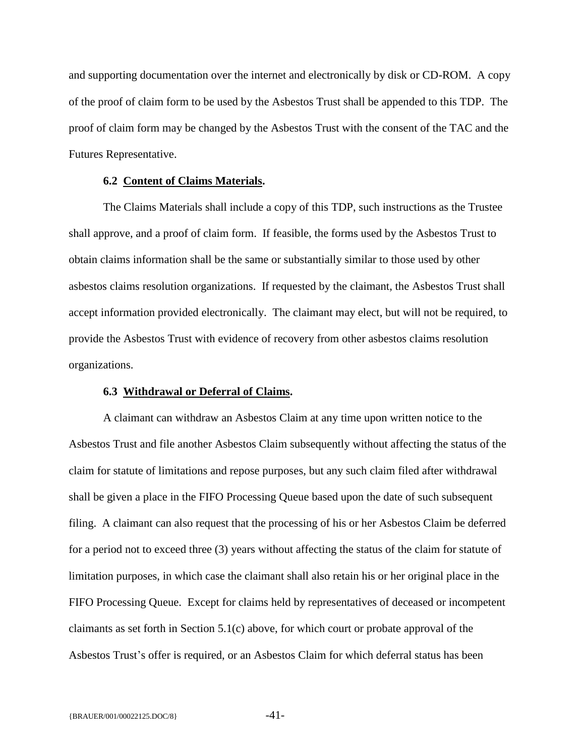and supporting documentation over the internet and electronically by disk or CD-ROM. A copy of the proof of claim form to be used by the Asbestos Trust shall be appended to this TDP. The proof of claim form may be changed by the Asbestos Trust with the consent of the TAC and the Futures Representative.

#### **6.2 Content of Claims Materials.**

<span id="page-42-0"></span>The Claims Materials shall include a copy of this TDP, such instructions as the Trustee shall approve, and a proof of claim form. If feasible, the forms used by the Asbestos Trust to obtain claims information shall be the same or substantially similar to those used by other asbestos claims resolution organizations. If requested by the claimant, the Asbestos Trust shall accept information provided electronically. The claimant may elect, but will not be required, to provide the Asbestos Trust with evidence of recovery from other asbestos claims resolution organizations.

## **6.3 Withdrawal or Deferral of Claims.**

<span id="page-42-1"></span>A claimant can withdraw an Asbestos Claim at any time upon written notice to the Asbestos Trust and file another Asbestos Claim subsequently without affecting the status of the claim for statute of limitations and repose purposes, but any such claim filed after withdrawal shall be given a place in the FIFO Processing Queue based upon the date of such subsequent filing. A claimant can also request that the processing of his or her Asbestos Claim be deferred for a period not to exceed three (3) years without affecting the status of the claim for statute of limitation purposes, in which case the claimant shall also retain his or her original place in the FIFO Processing Queue. Except for claims held by representatives of deceased or incompetent claimants as set forth in Section 5.1(c) above, for which court or probate approval of the Asbestos Trust's offer is required, or an Asbestos Claim for which deferral status has been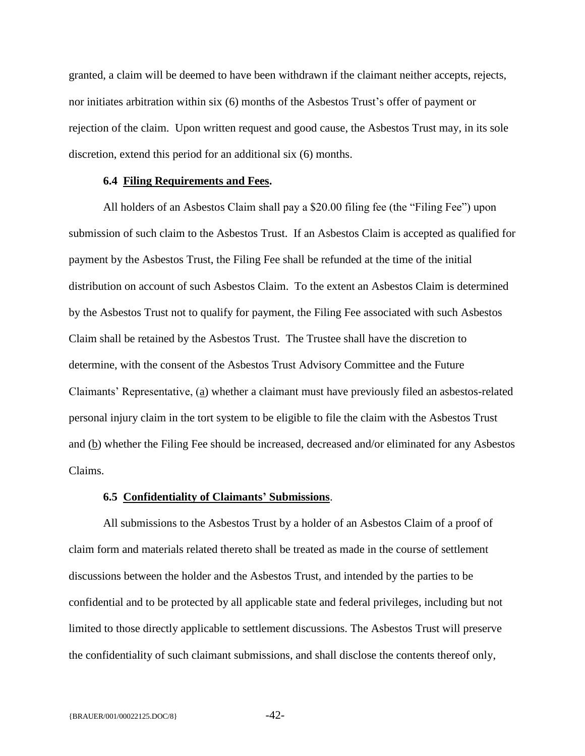granted, a claim will be deemed to have been withdrawn if the claimant neither accepts, rejects, nor initiates arbitration within six (6) months of the Asbestos Trust's offer of payment or rejection of the claim. Upon written request and good cause, the Asbestos Trust may, in its sole discretion, extend this period for an additional six (6) months.

## **6.4 Filing Requirements and Fees.**

<span id="page-43-0"></span>All holders of an Asbestos Claim shall pay a \$20.00 filing fee (the "Filing Fee") upon submission of such claim to the Asbestos Trust. If an Asbestos Claim is accepted as qualified for payment by the Asbestos Trust, the Filing Fee shall be refunded at the time of the initial distribution on account of such Asbestos Claim. To the extent an Asbestos Claim is determined by the Asbestos Trust not to qualify for payment, the Filing Fee associated with such Asbestos Claim shall be retained by the Asbestos Trust. The Trustee shall have the discretion to determine, with the consent of the Asbestos Trust Advisory Committee and the Future Claimants' Representative, (a) whether a claimant must have previously filed an asbestos-related personal injury claim in the tort system to be eligible to file the claim with the Asbestos Trust and (b) whether the Filing Fee should be increased, decreased and/or eliminated for any Asbestos Claims.

#### **6.5 Confidentiality of Claimants' Submissions**.

<span id="page-43-1"></span>All submissions to the Asbestos Trust by a holder of an Asbestos Claim of a proof of claim form and materials related thereto shall be treated as made in the course of settlement discussions between the holder and the Asbestos Trust, and intended by the parties to be confidential and to be protected by all applicable state and federal privileges, including but not limited to those directly applicable to settlement discussions. The Asbestos Trust will preserve the confidentiality of such claimant submissions, and shall disclose the contents thereof only,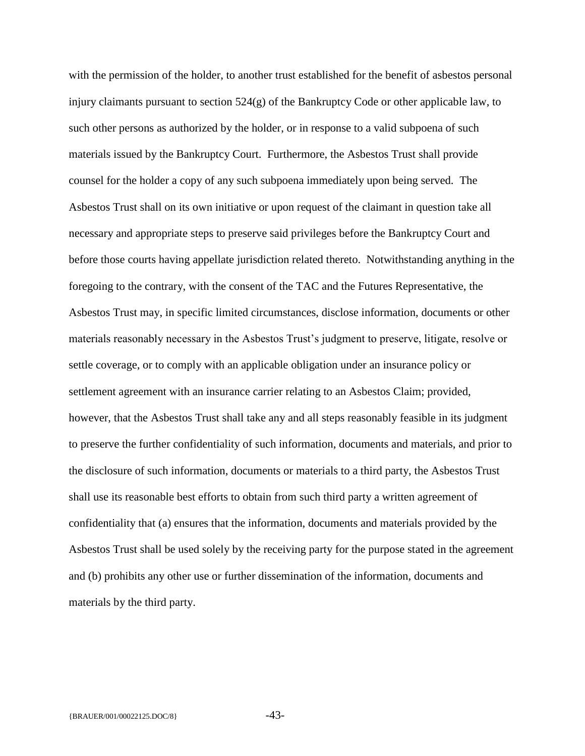with the permission of the holder, to another trust established for the benefit of asbestos personal injury claimants pursuant to section 524(g) of the Bankruptcy Code or other applicable law, to such other persons as authorized by the holder, or in response to a valid subpoena of such materials issued by the Bankruptcy Court. Furthermore, the Asbestos Trust shall provide counsel for the holder a copy of any such subpoena immediately upon being served. The Asbestos Trust shall on its own initiative or upon request of the claimant in question take all necessary and appropriate steps to preserve said privileges before the Bankruptcy Court and before those courts having appellate jurisdiction related thereto. Notwithstanding anything in the foregoing to the contrary, with the consent of the TAC and the Futures Representative, the Asbestos Trust may, in specific limited circumstances, disclose information, documents or other materials reasonably necessary in the Asbestos Trust's judgment to preserve, litigate, resolve or settle coverage, or to comply with an applicable obligation under an insurance policy or settlement agreement with an insurance carrier relating to an Asbestos Claim; provided, however, that the Asbestos Trust shall take any and all steps reasonably feasible in its judgment to preserve the further confidentiality of such information, documents and materials, and prior to the disclosure of such information, documents or materials to a third party, the Asbestos Trust shall use its reasonable best efforts to obtain from such third party a written agreement of confidentiality that (a) ensures that the information, documents and materials provided by the Asbestos Trust shall be used solely by the receiving party for the purpose stated in the agreement and (b) prohibits any other use or further dissemination of the information, documents and materials by the third party.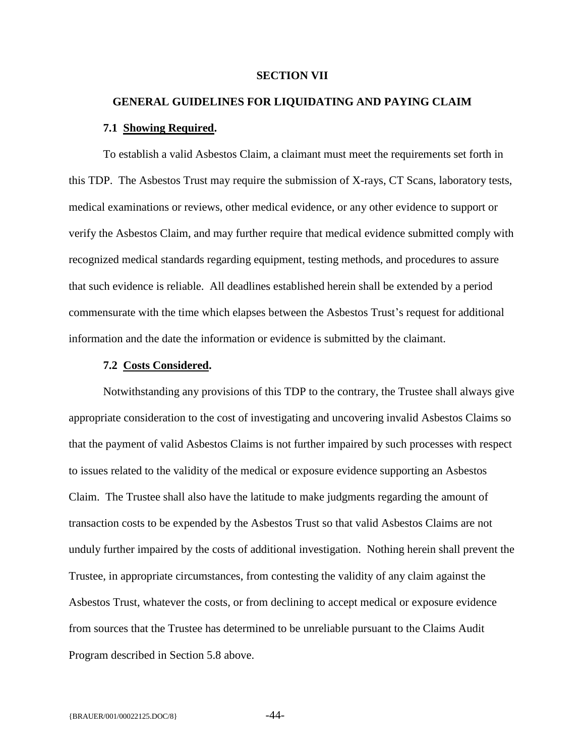#### **SECTION VII**

# <span id="page-45-0"></span>**GENERAL GUIDELINES FOR LIQUIDATING AND PAYING CLAIM 7.1 Showing Required.**

<span id="page-45-1"></span>To establish a valid Asbestos Claim, a claimant must meet the requirements set forth in this TDP. The Asbestos Trust may require the submission of X-rays, CT Scans, laboratory tests, medical examinations or reviews, other medical evidence, or any other evidence to support or verify the Asbestos Claim, and may further require that medical evidence submitted comply with recognized medical standards regarding equipment, testing methods, and procedures to assure that such evidence is reliable. All deadlines established herein shall be extended by a period commensurate with the time which elapses between the Asbestos Trust's request for additional information and the date the information or evidence is submitted by the claimant.

## **7.2 Costs Considered.**

<span id="page-45-2"></span>Notwithstanding any provisions of this TDP to the contrary, the Trustee shall always give appropriate consideration to the cost of investigating and uncovering invalid Asbestos Claims so that the payment of valid Asbestos Claims is not further impaired by such processes with respect to issues related to the validity of the medical or exposure evidence supporting an Asbestos Claim. The Trustee shall also have the latitude to make judgments regarding the amount of transaction costs to be expended by the Asbestos Trust so that valid Asbestos Claims are not unduly further impaired by the costs of additional investigation. Nothing herein shall prevent the Trustee, in appropriate circumstances, from contesting the validity of any claim against the Asbestos Trust, whatever the costs, or from declining to accept medical or exposure evidence from sources that the Trustee has determined to be unreliable pursuant to the Claims Audit Program described in Section 5.8 above.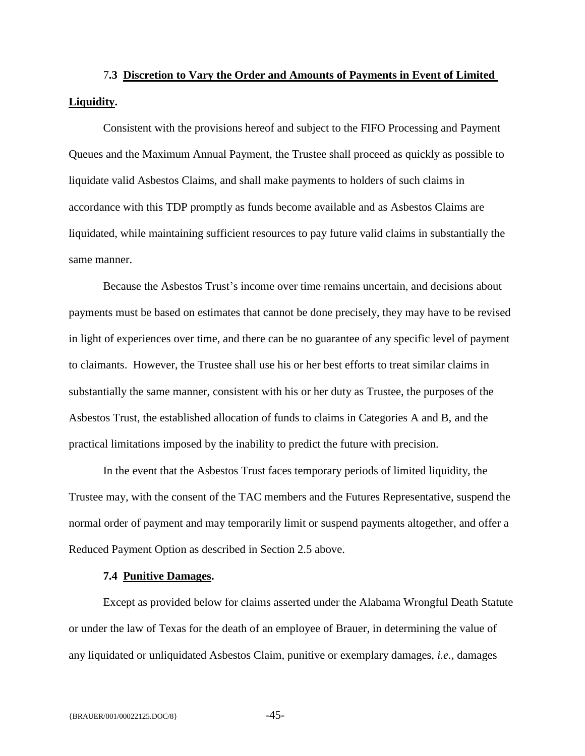# <span id="page-46-0"></span>7**.3 Discretion to Vary the Order and Amounts of Payments in Event of Limited Liquidity.**

Consistent with the provisions hereof and subject to the FIFO Processing and Payment Queues and the Maximum Annual Payment, the Trustee shall proceed as quickly as possible to liquidate valid Asbestos Claims, and shall make payments to holders of such claims in accordance with this TDP promptly as funds become available and as Asbestos Claims are liquidated, while maintaining sufficient resources to pay future valid claims in substantially the same manner.

Because the Asbestos Trust's income over time remains uncertain, and decisions about payments must be based on estimates that cannot be done precisely, they may have to be revised in light of experiences over time, and there can be no guarantee of any specific level of payment to claimants. However, the Trustee shall use his or her best efforts to treat similar claims in substantially the same manner, consistent with his or her duty as Trustee, the purposes of the Asbestos Trust, the established allocation of funds to claims in Categories A and B, and the practical limitations imposed by the inability to predict the future with precision.

In the event that the Asbestos Trust faces temporary periods of limited liquidity, the Trustee may, with the consent of the TAC members and the Futures Representative, suspend the normal order of payment and may temporarily limit or suspend payments altogether, and offer a Reduced Payment Option as described in Section 2.5 above.

#### **7.4 Punitive Damages.**

<span id="page-46-1"></span>Except as provided below for claims asserted under the Alabama Wrongful Death Statute or under the law of Texas for the death of an employee of Brauer, in determining the value of any liquidated or unliquidated Asbestos Claim, punitive or exemplary damages, *i.e.*, damages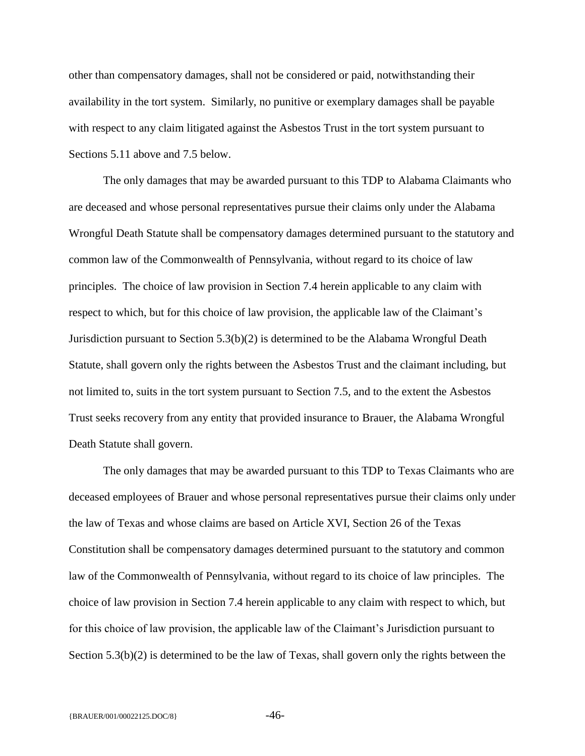other than compensatory damages, shall not be considered or paid, notwithstanding their availability in the tort system. Similarly, no punitive or exemplary damages shall be payable with respect to any claim litigated against the Asbestos Trust in the tort system pursuant to Sections 5.11 above and 7.5 below.

The only damages that may be awarded pursuant to this TDP to Alabama Claimants who are deceased and whose personal representatives pursue their claims only under the Alabama Wrongful Death Statute shall be compensatory damages determined pursuant to the statutory and common law of the Commonwealth of Pennsylvania, without regard to its choice of law principles. The choice of law provision in Section 7.4 herein applicable to any claim with respect to which, but for this choice of law provision, the applicable law of the Claimant's Jurisdiction pursuant to Section 5.3(b)(2) is determined to be the Alabama Wrongful Death Statute, shall govern only the rights between the Asbestos Trust and the claimant including, but not limited to, suits in the tort system pursuant to Section 7.5, and to the extent the Asbestos Trust seeks recovery from any entity that provided insurance to Brauer, the Alabama Wrongful Death Statute shall govern.

The only damages that may be awarded pursuant to this TDP to Texas Claimants who are deceased employees of Brauer and whose personal representatives pursue their claims only under the law of Texas and whose claims are based on Article XVI, Section 26 of the Texas Constitution shall be compensatory damages determined pursuant to the statutory and common law of the Commonwealth of Pennsylvania, without regard to its choice of law principles. The choice of law provision in Section 7.4 herein applicable to any claim with respect to which, but for this choice of law provision, the applicable law of the Claimant's Jurisdiction pursuant to Section 5.3(b)(2) is determined to be the law of Texas, shall govern only the rights between the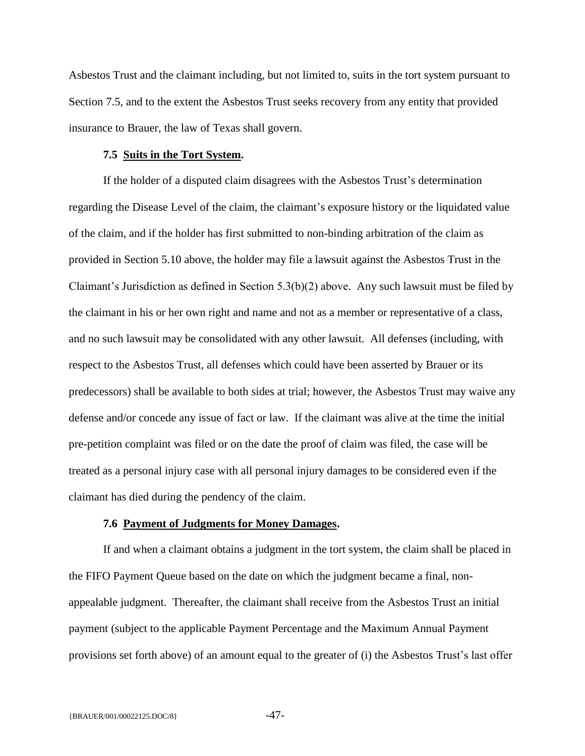Asbestos Trust and the claimant including, but not limited to, suits in the tort system pursuant to Section 7.5, and to the extent the Asbestos Trust seeks recovery from any entity that provided insurance to Brauer, the law of Texas shall govern.

## **7.5 Suits in the Tort System.**

<span id="page-48-0"></span>If the holder of a disputed claim disagrees with the Asbestos Trust's determination regarding the Disease Level of the claim, the claimant's exposure history or the liquidated value of the claim, and if the holder has first submitted to non-binding arbitration of the claim as provided in Section 5.10 above, the holder may file a lawsuit against the Asbestos Trust in the Claimant's Jurisdiction as defined in Section  $5.3(b)(2)$  above. Any such lawsuit must be filed by the claimant in his or her own right and name and not as a member or representative of a class, and no such lawsuit may be consolidated with any other lawsuit. All defenses (including, with respect to the Asbestos Trust, all defenses which could have been asserted by Brauer or its predecessors) shall be available to both sides at trial; however, the Asbestos Trust may waive any defense and/or concede any issue of fact or law. If the claimant was alive at the time the initial pre-petition complaint was filed or on the date the proof of claim was filed, the case will be treated as a personal injury case with all personal injury damages to be considered even if the claimant has died during the pendency of the claim.

#### **7.6 Payment of Judgments for Money Damages.**

<span id="page-48-1"></span>If and when a claimant obtains a judgment in the tort system, the claim shall be placed in the FIFO Payment Queue based on the date on which the judgment became a final, nonappealable judgment. Thereafter, the claimant shall receive from the Asbestos Trust an initial payment (subject to the applicable Payment Percentage and the Maximum Annual Payment provisions set forth above) of an amount equal to the greater of (i) the Asbestos Trust's last offer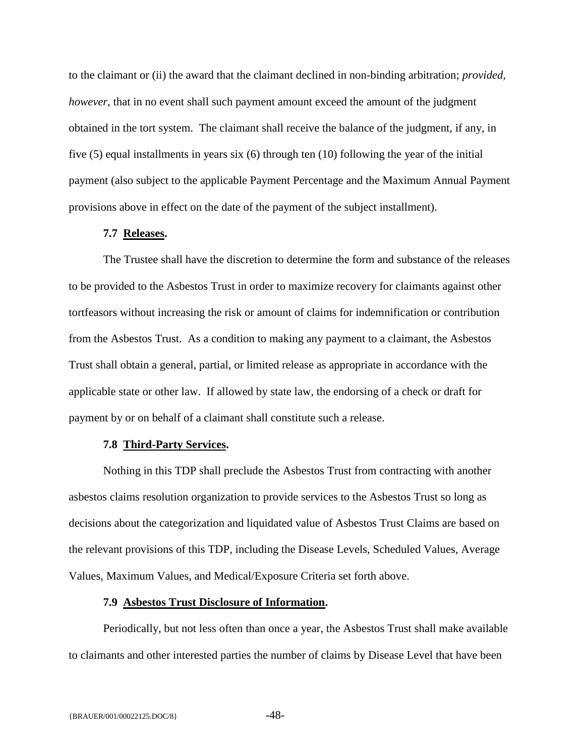to the claimant or (ii) the award that the claimant declined in non-binding arbitration; *provided, however*, that in no event shall such payment amount exceed the amount of the judgment obtained in the tort system. The claimant shall receive the balance of the judgment, if any, in five (5) equal installments in years six (6) through ten (10) following the year of the initial payment (also subject to the applicable Payment Percentage and the Maximum Annual Payment provisions above in effect on the date of the payment of the subject installment).

#### **7.7 Releases.**

<span id="page-49-0"></span>The Trustee shall have the discretion to determine the form and substance of the releases to be provided to the Asbestos Trust in order to maximize recovery for claimants against other tortfeasors without increasing the risk or amount of claims for indemnification or contribution from the Asbestos Trust. As a condition to making any payment to a claimant, the Asbestos Trust shall obtain a general, partial, or limited release as appropriate in accordance with the applicable state or other law. If allowed by state law, the endorsing of a check or draft for payment by or on behalf of a claimant shall constitute such a release.

## **7.8 Third-Party Services.**

<span id="page-49-1"></span>Nothing in this TDP shall preclude the Asbestos Trust from contracting with another asbestos claims resolution organization to provide services to the Asbestos Trust so long as decisions about the categorization and liquidated value of Asbestos Trust Claims are based on the relevant provisions of this TDP, including the Disease Levels, Scheduled Values, Average Values, Maximum Values, and Medical/Exposure Criteria set forth above.

## **7.9 Asbestos Trust Disclosure of Information.**

<span id="page-49-2"></span>Periodically, but not less often than once a year, the Asbestos Trust shall make available to claimants and other interested parties the number of claims by Disease Level that have been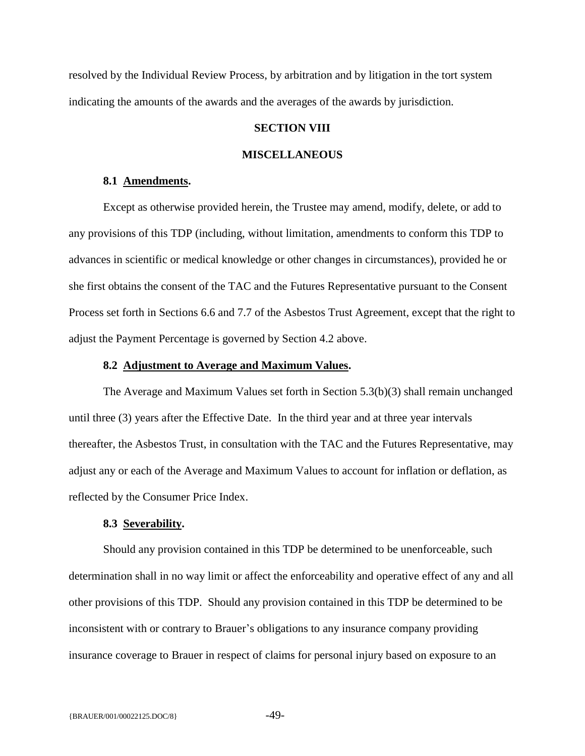<span id="page-50-0"></span>resolved by the Individual Review Process, by arbitration and by litigation in the tort system indicating the amounts of the awards and the averages of the awards by jurisdiction.

## **SECTION VIII**

### **MISCELLANEOUS**

#### **8.1 Amendments.**

<span id="page-50-1"></span>Except as otherwise provided herein, the Trustee may amend, modify, delete, or add to any provisions of this TDP (including, without limitation, amendments to conform this TDP to advances in scientific or medical knowledge or other changes in circumstances), provided he or she first obtains the consent of the TAC and the Futures Representative pursuant to the Consent Process set forth in Sections 6.6 and 7.7 of the Asbestos Trust Agreement, except that the right to adjust the Payment Percentage is governed by Section 4.2 above.

#### **8.2 Adjustment to Average and Maximum Values.**

<span id="page-50-2"></span>The Average and Maximum Values set forth in Section 5.3(b)(3) shall remain unchanged until three (3) years after the Effective Date. In the third year and at three year intervals thereafter, the Asbestos Trust, in consultation with the TAC and the Futures Representative, may adjust any or each of the Average and Maximum Values to account for inflation or deflation, as reflected by the Consumer Price Index.

#### **8.3 Severability.**

<span id="page-50-3"></span>Should any provision contained in this TDP be determined to be unenforceable, such determination shall in no way limit or affect the enforceability and operative effect of any and all other provisions of this TDP. Should any provision contained in this TDP be determined to be inconsistent with or contrary to Brauer's obligations to any insurance company providing insurance coverage to Brauer in respect of claims for personal injury based on exposure to an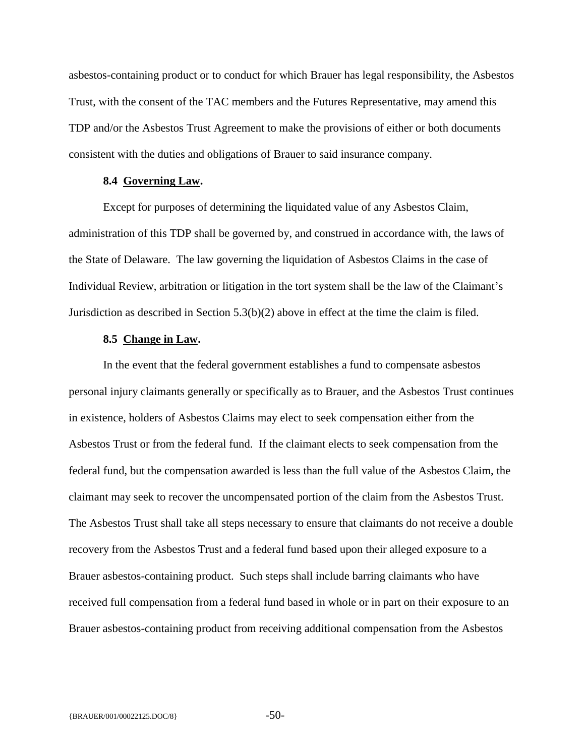asbestos-containing product or to conduct for which Brauer has legal responsibility, the Asbestos Trust, with the consent of the TAC members and the Futures Representative, may amend this TDP and/or the Asbestos Trust Agreement to make the provisions of either or both documents consistent with the duties and obligations of Brauer to said insurance company.

#### **8.4 Governing Law.**

<span id="page-51-0"></span>Except for purposes of determining the liquidated value of any Asbestos Claim, administration of this TDP shall be governed by, and construed in accordance with, the laws of the State of Delaware. The law governing the liquidation of Asbestos Claims in the case of Individual Review, arbitration or litigation in the tort system shall be the law of the Claimant's Jurisdiction as described in Section 5.3(b)(2) above in effect at the time the claim is filed.

## **8.5 Change in Law.**

<span id="page-51-1"></span>In the event that the federal government establishes a fund to compensate asbestos personal injury claimants generally or specifically as to Brauer, and the Asbestos Trust continues in existence, holders of Asbestos Claims may elect to seek compensation either from the Asbestos Trust or from the federal fund. If the claimant elects to seek compensation from the federal fund, but the compensation awarded is less than the full value of the Asbestos Claim, the claimant may seek to recover the uncompensated portion of the claim from the Asbestos Trust. The Asbestos Trust shall take all steps necessary to ensure that claimants do not receive a double recovery from the Asbestos Trust and a federal fund based upon their alleged exposure to a Brauer asbestos-containing product. Such steps shall include barring claimants who have received full compensation from a federal fund based in whole or in part on their exposure to an Brauer asbestos-containing product from receiving additional compensation from the Asbestos